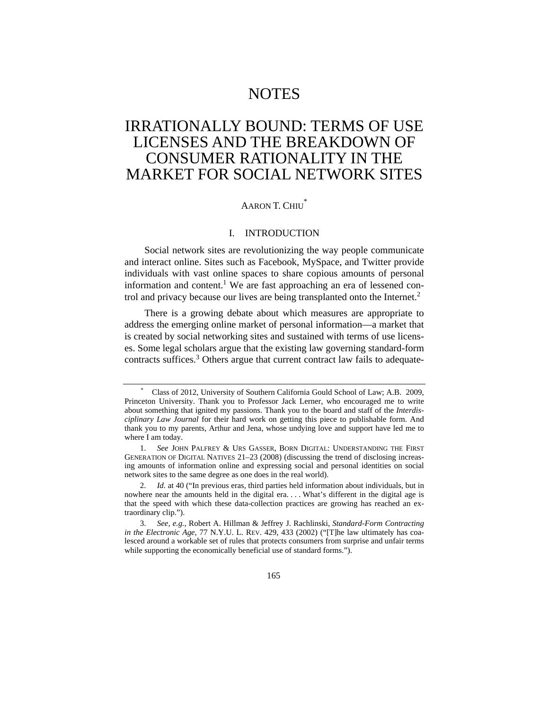# NOTES

# IRRATIONALLY BOUND: TERMS OF USE LICENSES AND THE BREAKDOWN OF CONSUMER RATIONALITY IN THE MARKET FOR SOCIAL NETWORK SITES

# AARON T. CHIU<sup>\*</sup>

# I. INTRODUCTION

Social network sites are revolutionizing the way people communicate and interact online. Sites such as Facebook, MySpace, and Twitter provide individuals with vast online spaces to share copious amounts of personal information and content.<sup>1</sup> We are fast approaching an era of lessened control and privacy because our lives are being transplanted onto the Internet.<sup>2</sup>

There is a growing debate about which measures are appropriate to address the emerging online market of personal information—a market that is created by social networking sites and sustained with terms of use licenses. Some legal scholars argue that the existing law governing standard-form contracts suffices.<sup>3</sup> Others argue that current contract law fails to adequate-

<sup>\*</sup> Class of 2012, University of Southern California Gould School of Law; A.B. 2009, Princeton University. Thank you to Professor Jack Lerner, who encouraged me to write about something that ignited my passions. Thank you to the board and staff of the *Interdisciplinary Law Journal* for their hard work on getting this piece to publishable form. And thank you to my parents, Arthur and Jena, whose undying love and support have led me to where I am today.

 <sup>1.</sup> *See* JOHN PALFREY & URS GASSER, BORN DIGITAL: UNDERSTANDING THE FIRST GENERATION OF DIGITAL NATIVES 21–23 (2008) (discussing the trend of disclosing increasing amounts of information online and expressing social and personal identities on social network sites to the same degree as one does in the real world).

 <sup>2.</sup> *Id.* at 40 ("In previous eras, third parties held information about individuals, but in nowhere near the amounts held in the digital era. . . . What's different in the digital age is that the speed with which these data-collection practices are growing has reached an extraordinary clip.").

 <sup>3.</sup> *See, e.g.*, Robert A. Hillman & Jeffrey J. Rachlinski, *Standard-Form Contracting in the Electronic Age, 77 N.Y.U. L. REV. 429, 433 (2002)* ("[T]he law ultimately has coalesced around a workable set of rules that protects consumers from surprise and unfair terms while supporting the economically beneficial use of standard forms.").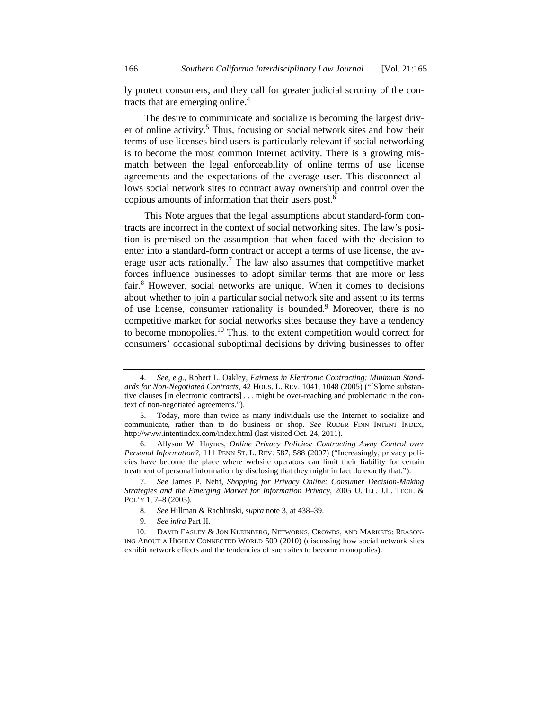ly protect consumers, and they call for greater judicial scrutiny of the contracts that are emerging online.<sup>4</sup>

The desire to communicate and socialize is becoming the largest driver of online activity.<sup>5</sup> Thus, focusing on social network sites and how their terms of use licenses bind users is particularly relevant if social networking is to become the most common Internet activity. There is a growing mismatch between the legal enforceability of online terms of use license agreements and the expectations of the average user. This disconnect allows social network sites to contract away ownership and control over the copious amounts of information that their users post.<sup>6</sup>

This Note argues that the legal assumptions about standard-form contracts are incorrect in the context of social networking sites. The law's position is premised on the assumption that when faced with the decision to enter into a standard-form contract or accept a terms of use license, the average user acts rationally.<sup>7</sup> The law also assumes that competitive market forces influence businesses to adopt similar terms that are more or less fair.<sup>8</sup> However, social networks are unique. When it comes to decisions about whether to join a particular social network site and assent to its terms of use license, consumer rationality is bounded.<sup>9</sup> Moreover, there is no competitive market for social networks sites because they have a tendency to become monopolies.10 Thus, to the extent competition would correct for consumers' occasional suboptimal decisions by driving businesses to offer

 <sup>4.</sup> *See, e.g.*, Robert L. Oakley, *Fairness in Electronic Contracting: Minimum Standards for Non-Negotiated Contracts*, 42 HOUS. L. REV. 1041, 1048 (2005) ("[S]ome substantive clauses [in electronic contracts] . . . might be over-reaching and problematic in the context of non-negotiated agreements.").

 <sup>5.</sup> Today, more than twice as many individuals use the Internet to socialize and communicate, rather than to do business or shop. *See* RUDER FINN INTENT INDEX, http://www.intentindex.com/index.html (last visited Oct. 24, 2011).

 <sup>6.</sup> Allyson W. Haynes, *Online Privacy Policies: Contracting Away Control over Personal Information?*, 111 PENN ST. L. REV. 587, 588 (2007) ("Increasingly, privacy policies have become the place where website operators can limit their liability for certain treatment of personal information by disclosing that they might in fact do exactly that.").

 <sup>7.</sup> *See* James P. Nehf, *Shopping for Privacy Online: Consumer Decision-Making Strategies and the Emerging Market for Information Privacy*, 2005 U. ILL. J.L. TECH. & POL'Y 1, 7–8 (2005).

 <sup>8.</sup> *See* Hillman & Rachlinski, *supra* note 3, at 438–39.

 <sup>9.</sup> *See infra* Part II.

 <sup>10.</sup> DAVID EASLEY & JON KLEINBERG, NETWORKS, CROWDS, AND MARKETS: REASON-ING ABOUT A HIGHLY CONNECTED WORLD 509 (2010) (discussing how social network sites exhibit network effects and the tendencies of such sites to become monopolies).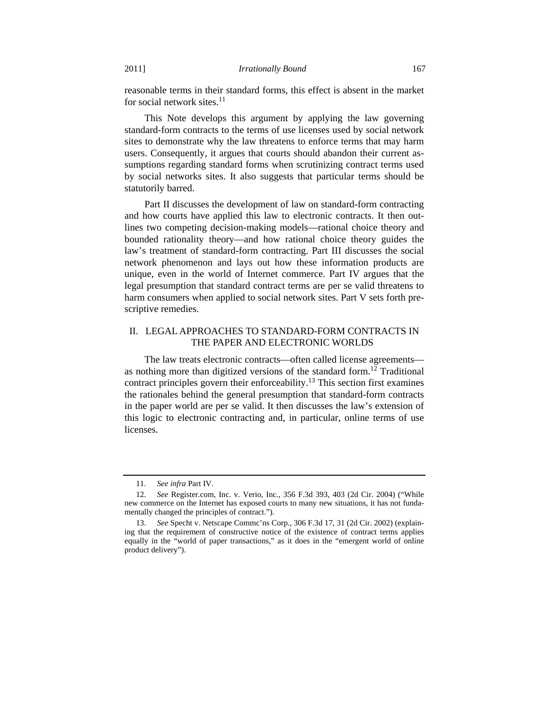reasonable terms in their standard forms, this effect is absent in the market for social network sites. $11$ 

This Note develops this argument by applying the law governing standard-form contracts to the terms of use licenses used by social network sites to demonstrate why the law threatens to enforce terms that may harm users. Consequently, it argues that courts should abandon their current assumptions regarding standard forms when scrutinizing contract terms used by social networks sites. It also suggests that particular terms should be statutorily barred.

Part II discusses the development of law on standard-form contracting and how courts have applied this law to electronic contracts. It then outlines two competing decision-making models—rational choice theory and bounded rationality theory—and how rational choice theory guides the law's treatment of standard-form contracting. Part III discusses the social network phenomenon and lays out how these information products are unique, even in the world of Internet commerce. Part IV argues that the legal presumption that standard contract terms are per se valid threatens to harm consumers when applied to social network sites. Part V sets forth prescriptive remedies.

## II. LEGAL APPROACHES TO STANDARD-FORM CONTRACTS IN THE PAPER AND ELECTRONIC WORLDS

The law treats electronic contracts—often called license agreements as nothing more than digitized versions of the standard form.<sup>12</sup> Traditional contract principles govern their enforceability.<sup>13</sup> This section first examines the rationales behind the general presumption that standard-form contracts in the paper world are per se valid. It then discusses the law's extension of this logic to electronic contracting and, in particular, online terms of use licenses.

 <sup>11.</sup> *See infra* Part IV.

 <sup>12.</sup> *See* Register.com, Inc. v. Verio, Inc., 356 F.3d 393, 403 (2d Cir. 2004) ("While new commerce on the Internet has exposed courts to many new situations, it has not fundamentally changed the principles of contract.").

 <sup>13.</sup> *See* Specht v. Netscape Commc'ns Corp., 306 F.3d 17, 31 (2d Cir. 2002) (explaining that the requirement of constructive notice of the existence of contract terms applies equally in the "world of paper transactions," as it does in the "emergent world of online product delivery").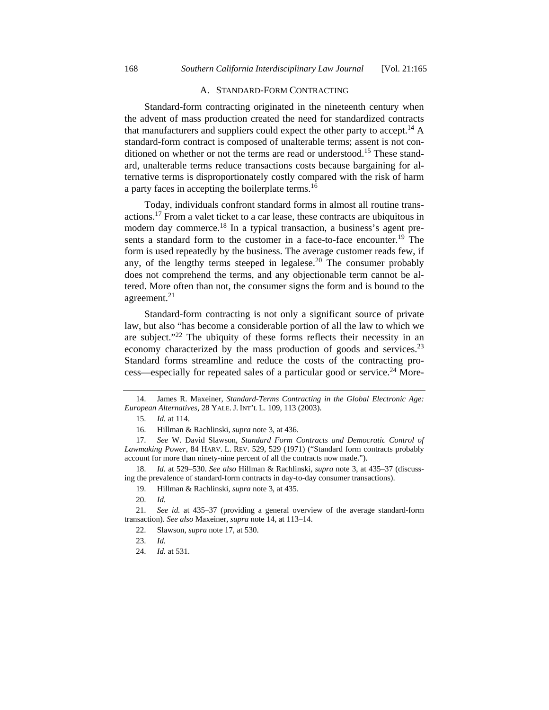#### A. STANDARD-FORM CONTRACTING

Standard-form contracting originated in the nineteenth century when the advent of mass production created the need for standardized contracts that manufacturers and suppliers could expect the other party to accept.<sup>14</sup> A standard-form contract is composed of unalterable terms; assent is not conditioned on whether or not the terms are read or understood.<sup>15</sup> These standard, unalterable terms reduce transactions costs because bargaining for alternative terms is disproportionately costly compared with the risk of harm a party faces in accepting the boilerplate terms.<sup>16</sup>

Today, individuals confront standard forms in almost all routine transactions.17 From a valet ticket to a car lease, these contracts are ubiquitous in modern day commerce.<sup>18</sup> In a typical transaction, a business's agent presents a standard form to the customer in a face-to-face encounter.<sup>19</sup> The form is used repeatedly by the business. The average customer reads few, if any, of the lengthy terms steeped in legalese.<sup>20</sup> The consumer probably does not comprehend the terms, and any objectionable term cannot be altered. More often than not, the consumer signs the form and is bound to the agreement.<sup>21</sup>

Standard-form contracting is not only a significant source of private law, but also "has become a considerable portion of all the law to which we are subject."22 The ubiquity of these forms reflects their necessity in an economy characterized by the mass production of goods and services.<sup>23</sup> Standard forms streamline and reduce the costs of the contracting process—especially for repeated sales of a particular good or service.<sup>24</sup> More-

 <sup>14.</sup> James R. Maxeiner, *Standard-Terms Contracting in the Global Electronic Age: European Alternatives*, 28 YALE. J. INT'L L. 109, 113 (2003).

 <sup>15.</sup> *Id.* at 114.

 <sup>16.</sup> Hillman & Rachlinski, *supra* note 3, at 436.

 <sup>17.</sup> *See* W. David Slawson, *Standard Form Contracts and Democratic Control of Lawmaking Power*, 84 HARV. L. REV. 529, 529 (1971) ("Standard form contracts probably account for more than ninety-nine percent of all the contracts now made.").

 <sup>18.</sup> *Id.* at 529–530. *See also* Hillman & Rachlinski, *supra* note 3, at 435–37 (discussing the prevalence of standard-form contracts in day-to-day consumer transactions).

 <sup>19.</sup> Hillman & Rachlinski, *supra* note 3, at 435.

 <sup>20.</sup> *Id.*

 <sup>21.</sup> *See id.* at 435–37 (providing a general overview of the average standard-form transaction). *See also* Maxeiner, *supra* note 14, at 113–14.

 <sup>22.</sup> Slawson, *supra* note 17, at 530.

 <sup>23.</sup> *Id.*

 <sup>24.</sup> *Id.* at 531.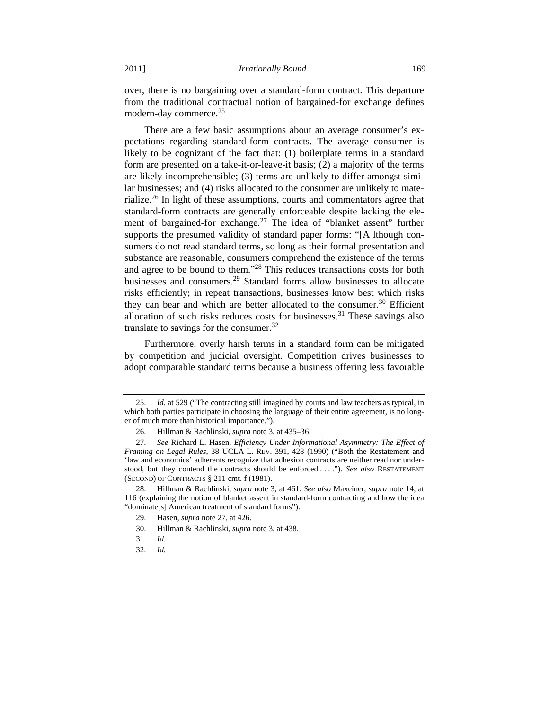over, there is no bargaining over a standard-form contract. This departure from the traditional contractual notion of bargained-for exchange defines modern-day commerce.<sup>25</sup>

There are a few basic assumptions about an average consumer's expectations regarding standard-form contracts. The average consumer is likely to be cognizant of the fact that: (1) boilerplate terms in a standard form are presented on a take-it-or-leave-it basis; (2) a majority of the terms are likely incomprehensible; (3) terms are unlikely to differ amongst similar businesses; and (4) risks allocated to the consumer are unlikely to materialize.26 In light of these assumptions, courts and commentators agree that standard-form contracts are generally enforceable despite lacking the element of bargained-for exchange.<sup>27</sup> The idea of "blanket assent" further supports the presumed validity of standard paper forms: "[A]lthough consumers do not read standard terms, so long as their formal presentation and substance are reasonable, consumers comprehend the existence of the terms and agree to be bound to them."28 This reduces transactions costs for both businesses and consumers.29 Standard forms allow businesses to allocate risks efficiently; in repeat transactions, businesses know best which risks they can bear and which are better allocated to the consumer.<sup>30</sup> Efficient allocation of such risks reduces costs for businesses.<sup>31</sup> These savings also translate to savings for the consumer.<sup>32</sup>

Furthermore, overly harsh terms in a standard form can be mitigated by competition and judicial oversight. Competition drives businesses to adopt comparable standard terms because a business offering less favorable

 <sup>25.</sup> *Id.* at 529 ("The contracting still imagined by courts and law teachers as typical, in which both parties participate in choosing the language of their entire agreement, is no longer of much more than historical importance.").

 <sup>26.</sup> Hillman & Rachlinski, *supra* note 3, at 435–36.

 <sup>27.</sup> *See* Richard L. Hasen, *Efficiency Under Informational Asymmetry: The Effect of Framing on Legal Rules*, 38 UCLA L. REV. 391, 428 (1990) ("Both the Restatement and 'law and economics' adherents recognize that adhesion contracts are neither read nor understood, but they contend the contracts should be enforced . . . ."). *See also* RESTATEMENT (SECOND) OF CONTRACTS § 211 cmt. f (1981).

 <sup>28.</sup> Hillman & Rachlinski, *supra* note 3, at 461. *See also* Maxeiner, *supra* note 14, at 116 (explaining the notion of blanket assent in standard-form contracting and how the idea "dominate[s] American treatment of standard forms").

 <sup>29.</sup> Hasen, *supra* note 27, at 426.

 <sup>30.</sup> Hillman & Rachlinski, *supra* note 3, at 438.

 <sup>31.</sup> *Id.*

 <sup>32.</sup> *Id.*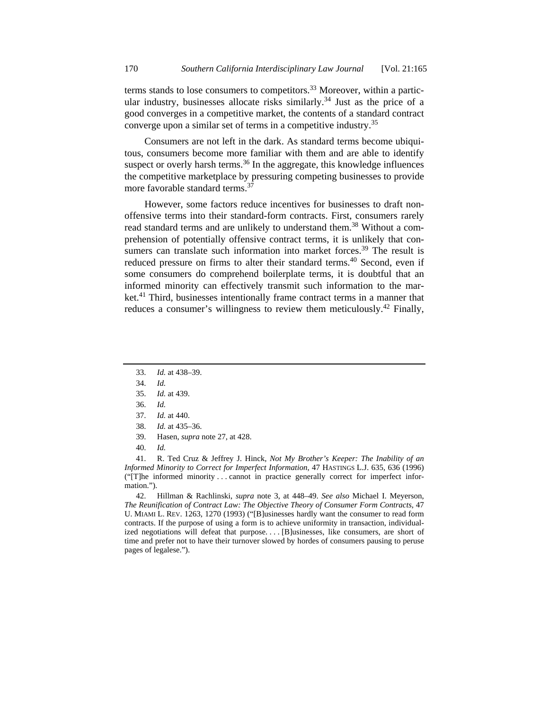terms stands to lose consumers to competitors.<sup>33</sup> Moreover, within a particular industry, businesses allocate risks similarly.<sup>34</sup> Just as the price of a good converges in a competitive market, the contents of a standard contract converge upon a similar set of terms in a competitive industry.35

Consumers are not left in the dark. As standard terms become ubiquitous, consumers become more familiar with them and are able to identify suspect or overly harsh terms.<sup>36</sup> In the aggregate, this knowledge influences the competitive marketplace by pressuring competing businesses to provide more favorable standard terms.<sup>37</sup>

However, some factors reduce incentives for businesses to draft nonoffensive terms into their standard-form contracts. First, consumers rarely read standard terms and are unlikely to understand them.<sup>38</sup> Without a comprehension of potentially offensive contract terms, it is unlikely that consumers can translate such information into market forces.<sup>39</sup> The result is reduced pressure on firms to alter their standard terms.<sup>40</sup> Second, even if some consumers do comprehend boilerplate terms, it is doubtful that an informed minority can effectively transmit such information to the market.<sup>41</sup> Third, businesses intentionally frame contract terms in a manner that reduces a consumer's willingness to review them meticulously.<sup>42</sup> Finally,

- 37. *Id.* at 440.
- 38. *Id.* at 435–36.
- 39. Hasen, *supra* note 27, at 428.
- 40. *Id.*

 41. R. Ted Cruz & Jeffrey J. Hinck, *Not My Brother's Keeper: The Inability of an Informed Minority to Correct for Imperfect Information*, 47 HASTINGS L.J. 635, 636 (1996) ("[T]he informed minority . . . cannot in practice generally correct for imperfect information.").

 42. Hillman & Rachlinski, *supra* note 3, at 448–49. *See also* Michael I. Meyerson, *The Reunification of Contract Law: The Objective Theory of Consumer Form Contracts*, 47 U. MIAMI L. REV. 1263, 1270 (1993) ("[B]usinesses hardly want the consumer to read form contracts. If the purpose of using a form is to achieve uniformity in transaction, individualized negotiations will defeat that purpose. . . . [B]usinesses, like consumers, are short of time and prefer not to have their turnover slowed by hordes of consumers pausing to peruse pages of legalese.").

 <sup>33.</sup> *Id.* at 438–39.

 <sup>34.</sup> *Id.*

 <sup>35.</sup> *Id.* at 439.

 <sup>36.</sup> *Id.*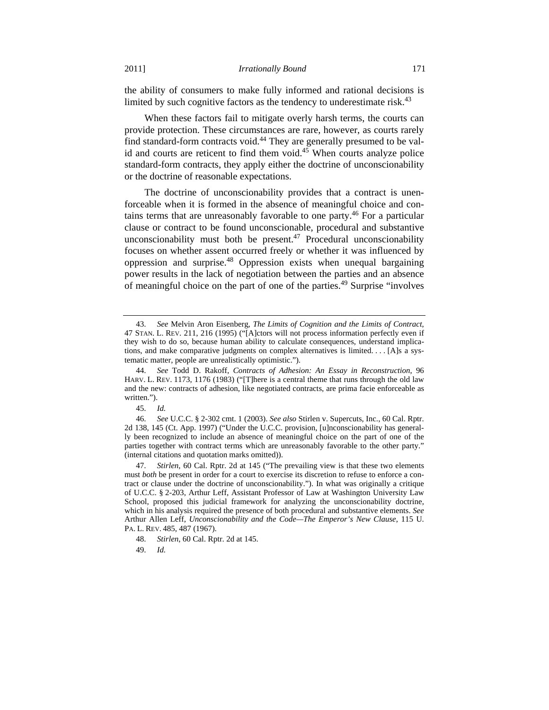the ability of consumers to make fully informed and rational decisions is limited by such cognitive factors as the tendency to underestimate risk.<sup>43</sup>

When these factors fail to mitigate overly harsh terms, the courts can provide protection. These circumstances are rare, however, as courts rarely find standard-form contracts void.<sup>44</sup> They are generally presumed to be valid and courts are reticent to find them void. $45$  When courts analyze police standard-form contracts, they apply either the doctrine of unconscionability or the doctrine of reasonable expectations.

The doctrine of unconscionability provides that a contract is unenforceable when it is formed in the absence of meaningful choice and contains terms that are unreasonably favorable to one party.46 For a particular clause or contract to be found unconscionable, procedural and substantive unconscionability must both be present.<sup>47</sup> Procedural unconscionability focuses on whether assent occurred freely or whether it was influenced by oppression and surprise.48 Oppression exists when unequal bargaining power results in the lack of negotiation between the parties and an absence of meaningful choice on the part of one of the parties.<sup>49</sup> Surprise "involves"

 <sup>43.</sup> *See* Melvin Aron Eisenberg, *The Limits of Cognition and the Limits of Contract*, 47 STAN. L. REV. 211, 216 (1995) ("[A]ctors will not process information perfectly even if they wish to do so, because human ability to calculate consequences, understand implications, and make comparative judgments on complex alternatives is limited. . . . [A]s a systematic matter, people are unrealistically optimistic.").

 <sup>44.</sup> *See* Todd D. Rakoff, *Contracts of Adhesion: An Essay in Reconstruction*, 96 HARV. L. REV. 1173, 1176 (1983) ("[T]here is a central theme that runs through the old law and the new: contracts of adhesion, like negotiated contracts, are prima facie enforceable as written.").

 <sup>45.</sup> *Id.*

 <sup>46.</sup> *See* U.C.C. § 2-302 cmt. 1 (2003). *See also* Stirlen v. Supercuts, Inc., 60 Cal. Rptr. 2d 138, 145 (Ct. App. 1997) ("Under the U.C.C. provision, [u]nconscionability has generally been recognized to include an absence of meaningful choice on the part of one of the parties together with contract terms which are unreasonably favorable to the other party." (internal citations and quotation marks omitted)).

 <sup>47.</sup> *Stirlen*, 60 Cal. Rptr. 2d at 145 ("The prevailing view is that these two elements must *both* be present in order for a court to exercise its discretion to refuse to enforce a contract or clause under the doctrine of unconscionability."). In what was originally a critique of U.C.C. § 2-203, Arthur Leff, Assistant Professor of Law at Washington University Law School, proposed this judicial framework for analyzing the unconscionability doctrine, which in his analysis required the presence of both procedural and substantive elements. *See*  Arthur Allen Leff, *Unconscionability and the Code—The Emperor's New Clause*, 115 U. PA. L. REV. 485, 487 (1967).

 <sup>48.</sup> *Stirlen*, 60 Cal. Rptr. 2d at 145.

 <sup>49.</sup> *Id.*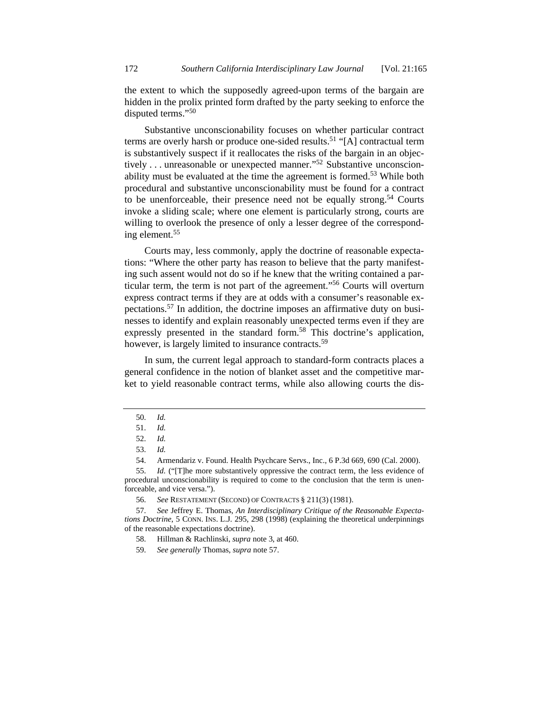the extent to which the supposedly agreed-upon terms of the bargain are hidden in the prolix printed form drafted by the party seeking to enforce the disputed terms."<sup>50</sup>

Substantive unconscionability focuses on whether particular contract terms are overly harsh or produce one-sided results.<sup>51</sup> "[A] contractual term is substantively suspect if it reallocates the risks of the bargain in an objectively . . . unreasonable or unexpected manner."<sup>52</sup> Substantive unconscionability must be evaluated at the time the agreement is formed.<sup>53</sup> While both procedural and substantive unconscionability must be found for a contract to be unenforceable, their presence need not be equally strong.<sup>54</sup> Courts invoke a sliding scale; where one element is particularly strong, courts are willing to overlook the presence of only a lesser degree of the corresponding element.55

Courts may, less commonly, apply the doctrine of reasonable expectations: "Where the other party has reason to believe that the party manifesting such assent would not do so if he knew that the writing contained a particular term, the term is not part of the agreement."56 Courts will overturn express contract terms if they are at odds with a consumer's reasonable expectations.57 In addition, the doctrine imposes an affirmative duty on businesses to identify and explain reasonably unexpected terms even if they are expressly presented in the standard form.<sup>58</sup> This doctrine's application, however, is largely limited to insurance contracts.<sup>59</sup>

In sum, the current legal approach to standard-form contracts places a general confidence in the notion of blanket asset and the competitive market to yield reasonable contract terms, while also allowing courts the dis-

 <sup>50.</sup> *Id.* 

 <sup>51.</sup> *Id.*

 <sup>52.</sup> *Id.*

 <sup>53.</sup> *Id.*

 <sup>54.</sup> Armendariz v. Found. Health Psychcare Servs., Inc., 6 P.3d 669, 690 (Cal. 2000).

 <sup>55.</sup> *Id.* ("[T]he more substantively oppressive the contract term, the less evidence of procedural unconscionability is required to come to the conclusion that the term is unenforceable, and vice versa.").

 <sup>56.</sup> *See* RESTATEMENT (SECOND) OF CONTRACTS § 211(3) (1981).

 <sup>57.</sup> *See* Jeffrey E. Thomas, *An Interdisciplinary Critique of the Reasonable Expectations Doctrine*, 5 CONN. INS. L.J. 295, 298 (1998) (explaining the theoretical underpinnings of the reasonable expectations doctrine).

 <sup>58.</sup> Hillman & Rachlinski, *supra* note 3, at 460.

 <sup>59.</sup> *See generally* Thomas, *supra* note 57.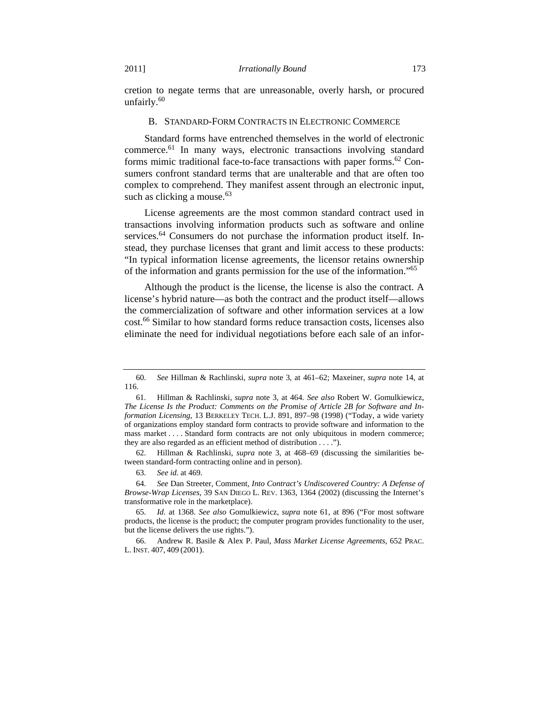cretion to negate terms that are unreasonable, overly harsh, or procured unfairly. $60$ 

#### B. STANDARD-FORM CONTRACTS IN ELECTRONIC COMMERCE

Standard forms have entrenched themselves in the world of electronic commerce.61 In many ways, electronic transactions involving standard forms mimic traditional face-to-face transactions with paper forms.<sup>62</sup> Consumers confront standard terms that are unalterable and that are often too complex to comprehend. They manifest assent through an electronic input, such as clicking a mouse. $63$ 

License agreements are the most common standard contract used in transactions involving information products such as software and online services.<sup>64</sup> Consumers do not purchase the information product itself. Instead, they purchase licenses that grant and limit access to these products: "In typical information license agreements, the licensor retains ownership of the information and grants permission for the use of the information."<sup>65</sup>

Although the product is the license, the license is also the contract. A license's hybrid nature—as both the contract and the product itself—allows the commercialization of software and other information services at a low cost.<sup>66</sup> Similar to how standard forms reduce transaction costs, licenses also eliminate the need for individual negotiations before each sale of an infor-

 62. Hillman & Rachlinski, *supra* note 3, at 468–69 (discussing the similarities between standard-form contracting online and in person).

 <sup>60.</sup> *See* Hillman & Rachlinski, *supra* note 3, at 461–62; Maxeiner, *supra* note 14, at 116.

 <sup>61.</sup> Hillman & Rachlinski, *supra* note 3, at 464. *See also* Robert W. Gomulkiewicz, *The License Is the Product: Comments on the Promise of Article 2B for Software and Information Licensing*, 13 BERKELEY TECH. L.J. 891, 897–98 (1998) ("Today, a wide variety of organizations employ standard form contracts to provide software and information to the mass market . . . . Standard form contracts are not only ubiquitous in modern commerce; they are also regarded as an efficient method of distribution . . . .").

 <sup>63.</sup> *See id.* at 469.

 <sup>64.</sup> *See* Dan Streeter, Comment, *Into Contract's Undiscovered Country: A Defense of Browse-Wrap Licenses*, 39 SAN DIEGO L. REV. 1363, 1364 (2002) (discussing the Internet's transformative role in the marketplace).

 <sup>65.</sup> *Id.* at 1368. *See also* Gomulkiewicz, *supra* note 61, at 896 ("For most software products, the license is the product; the computer program provides functionality to the user, but the license delivers the use rights.").

 <sup>66.</sup> Andrew R. Basile & Alex P. Paul, *Mass Market License Agreements*, 652 PRAC. L. INST. 407, 409 (2001).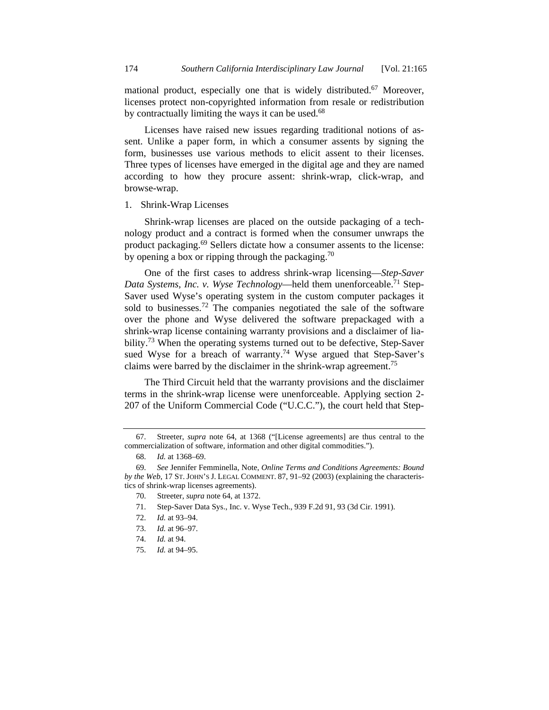mational product, especially one that is widely distributed.<sup>67</sup> Moreover, licenses protect non-copyrighted information from resale or redistribution by contractually limiting the ways it can be used.<sup>68</sup>

Licenses have raised new issues regarding traditional notions of assent. Unlike a paper form, in which a consumer assents by signing the form, businesses use various methods to elicit assent to their licenses. Three types of licenses have emerged in the digital age and they are named according to how they procure assent: shrink-wrap, click-wrap, and browse-wrap.

#### 1. Shrink-Wrap Licenses

Shrink-wrap licenses are placed on the outside packaging of a technology product and a contract is formed when the consumer unwraps the product packaging.<sup>69</sup> Sellers dictate how a consumer assents to the license: by opening a box or ripping through the packaging.<sup>70</sup>

One of the first cases to address shrink-wrap licensing—*Step-Saver Data Systems, Inc. v. Wyse Technology*—held them unenforceable.<sup>71</sup> Step-Saver used Wyse's operating system in the custom computer packages it sold to businesses.<sup>72</sup> The companies negotiated the sale of the software over the phone and Wyse delivered the software prepackaged with a shrink-wrap license containing warranty provisions and a disclaimer of liability.<sup>73</sup> When the operating systems turned out to be defective, Step-Saver sued Wyse for a breach of warranty.<sup>74</sup> Wyse argued that Step-Saver's claims were barred by the disclaimer in the shrink-wrap agreement.<sup>75</sup>

The Third Circuit held that the warranty provisions and the disclaimer terms in the shrink-wrap license were unenforceable. Applying section 2- 207 of the Uniform Commercial Code ("U.C.C."), the court held that Step-

70. Streeter, *supra* note 64, at 1372.

72. *Id.* at 93–94.

- 74. *Id.* at 94.
- 75. *Id.* at 94–95.

 <sup>67.</sup> Streeter, *supra* note 64, at 1368 ("[License agreements] are thus central to the commercialization of software, information and other digital commodities.").

 <sup>68.</sup> *Id.* at 1368–69.

 <sup>69.</sup> *See* Jennifer Femminella, Note, *Online Terms and Conditions Agreements: Bound by the Web*, 17 ST. JOHN'S J. LEGAL COMMENT. 87, 91–92 (2003) (explaining the characteristics of shrink-wrap licenses agreements).

 <sup>71.</sup> Step-Saver Data Sys., Inc. v. Wyse Tech., 939 F.2d 91, 93 (3d Cir. 1991).

 <sup>73.</sup> *Id.* at 96–97.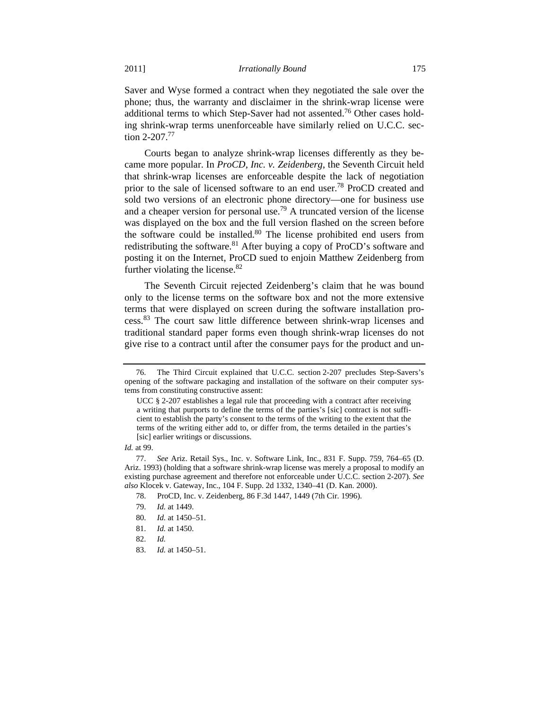Saver and Wyse formed a contract when they negotiated the sale over the phone; thus, the warranty and disclaimer in the shrink-wrap license were additional terms to which Step-Saver had not assented.<sup>76</sup> Other cases holding shrink-wrap terms unenforceable have similarly relied on U.C.C. section 2-207.<sup>77</sup>

Courts began to analyze shrink-wrap licenses differently as they became more popular. In *ProCD, Inc. v. Zeidenberg*, the Seventh Circuit held that shrink-wrap licenses are enforceable despite the lack of negotiation prior to the sale of licensed software to an end user.<sup>78</sup> ProCD created and sold two versions of an electronic phone directory—one for business use and a cheaper version for personal use.<sup>79</sup> A truncated version of the license was displayed on the box and the full version flashed on the screen before the software could be installed. $80$  The license prohibited end users from redistributing the software.<sup>81</sup> After buying a copy of ProCD's software and posting it on the Internet, ProCD sued to enjoin Matthew Zeidenberg from further violating the license.  $82$ 

The Seventh Circuit rejected Zeidenberg's claim that he was bound only to the license terms on the software box and not the more extensive terms that were displayed on screen during the software installation process.83 The court saw little difference between shrink-wrap licenses and traditional standard paper forms even though shrink-wrap licenses do not give rise to a contract until after the consumer pays for the product and un-

 <sup>76.</sup> The Third Circuit explained that U.C.C. section 2-207 precludes Step-Savers's opening of the software packaging and installation of the software on their computer systems from constituting constructive assent:

UCC § 2-207 establishes a legal rule that proceeding with a contract after receiving a writing that purports to define the terms of the parties's [sic] contract is not sufficient to establish the party's consent to the terms of the writing to the extent that the terms of the writing either add to, or differ from, the terms detailed in the parties's [sic] earlier writings or discussions.

*Id.* at 99.

 <sup>77.</sup> *See* Ariz. Retail Sys., Inc. v. Software Link, Inc., 831 F. Supp. 759, 764–65 (D. Ariz. 1993) (holding that a software shrink-wrap license was merely a proposal to modify an existing purchase agreement and therefore not enforceable under U.C.C. section 2-207). *See also* Klocek v. Gateway, Inc., 104 F. Supp. 2d 1332, 1340–41 (D. Kan. 2000).

 <sup>78.</sup> ProCD, Inc. v. Zeidenberg, 86 F.3d 1447, 1449 (7th Cir. 1996).

 <sup>79.</sup> *Id.* at 1449.

 <sup>80.</sup> *Id.* at 1450–51.

 <sup>81.</sup> *Id.* at 1450.

 <sup>82.</sup> *Id.*

 <sup>83.</sup> *Id.* at 1450–51.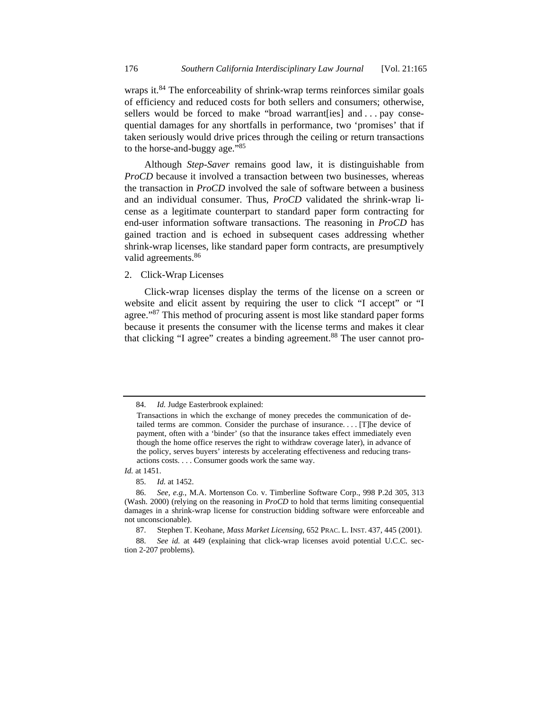wraps it.<sup>84</sup> The enforceability of shrink-wrap terms reinforces similar goals of efficiency and reduced costs for both sellers and consumers; otherwise, sellers would be forced to make "broad warrant[ies] and ... pay consequential damages for any shortfalls in performance, two 'promises' that if taken seriously would drive prices through the ceiling or return transactions to the horse-and-buggy age."85

Although *Step-Saver* remains good law, it is distinguishable from *ProCD* because it involved a transaction between two businesses, whereas the transaction in *ProCD* involved the sale of software between a business and an individual consumer. Thus, *ProCD* validated the shrink-wrap license as a legitimate counterpart to standard paper form contracting for end-user information software transactions. The reasoning in *ProCD* has gained traction and is echoed in subsequent cases addressing whether shrink-wrap licenses, like standard paper form contracts, are presumptively valid agreements.<sup>86</sup>

#### 2. Click-Wrap Licenses

Click-wrap licenses display the terms of the license on a screen or website and elicit assent by requiring the user to click "I accept" or "I agree."<sup>87</sup> This method of procuring assent is most like standard paper forms because it presents the consumer with the license terms and makes it clear that clicking "I agree" creates a binding agreement.<sup>88</sup> The user cannot pro-

*Id.* at 1451.

 <sup>84.</sup> *Id.* Judge Easterbrook explained:

Transactions in which the exchange of money precedes the communication of detailed terms are common. Consider the purchase of insurance. . . . [T]he device of payment, often with a 'binder' (so that the insurance takes effect immediately even though the home office reserves the right to withdraw coverage later), in advance of the policy, serves buyers' interests by accelerating effectiveness and reducing transactions costs. . . . Consumer goods work the same way.

 <sup>85.</sup> *Id.* at 1452.

 <sup>86.</sup> *See, e.g.*, M.A. Mortenson Co. v. Timberline Software Corp., 998 P.2d 305, 313 (Wash. 2000) (relying on the reasoning in *ProCD* to hold that terms limiting consequential damages in a shrink-wrap license for construction bidding software were enforceable and not unconscionable).

 <sup>87.</sup> Stephen T. Keohane, *Mass Market Licensing*, 652 PRAC. L. INST. 437, 445 (2001).

 <sup>88.</sup> *See id.* at 449 (explaining that click-wrap licenses avoid potential U.C.C. section 2-207 problems).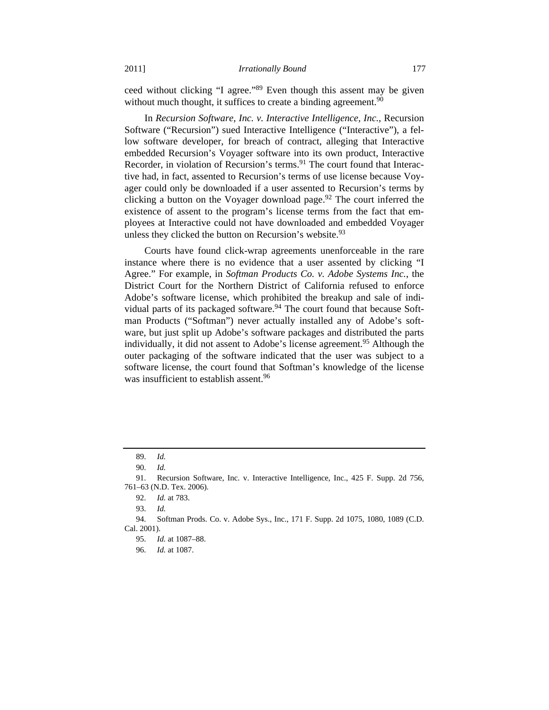ceed without clicking "I agree."89 Even though this assent may be given without much thought, it suffices to create a binding agreement.<sup>90</sup>

In *Recursion Software, Inc. v. Interactive Intelligence, Inc.*, Recursion Software ("Recursion") sued Interactive Intelligence ("Interactive"), a fellow software developer, for breach of contract, alleging that Interactive embedded Recursion's Voyager software into its own product, Interactive Recorder, in violation of Recursion's terms.<sup>91</sup> The court found that Interactive had, in fact, assented to Recursion's terms of use license because Voyager could only be downloaded if a user assented to Recursion's terms by clicking a button on the Voyager download page.<sup>92</sup> The court inferred the existence of assent to the program's license terms from the fact that employees at Interactive could not have downloaded and embedded Voyager unless they clicked the button on Recursion's website. $93$ 

Courts have found click-wrap agreements unenforceable in the rare instance where there is no evidence that a user assented by clicking "I Agree." For example, in *Softman Products Co. v. Adobe Systems Inc.*, the District Court for the Northern District of California refused to enforce Adobe's software license, which prohibited the breakup and sale of individual parts of its packaged software.<sup>94</sup> The court found that because Softman Products ("Softman") never actually installed any of Adobe's software, but just split up Adobe's software packages and distributed the parts individually, it did not assent to Adobe's license agreement.<sup>95</sup> Although the outer packaging of the software indicated that the user was subject to a software license, the court found that Softman's knowledge of the license was insufficient to establish assent.<sup>96</sup>

 <sup>89.</sup> *Id.* 

 <sup>90.</sup> *Id.*

 <sup>91.</sup> Recursion Software, Inc. v. Interactive Intelligence, Inc., 425 F. Supp. 2d 756, 761–63 (N.D. Tex. 2006).

 <sup>92.</sup> *Id.* at 783.

 <sup>93.</sup> *Id.*

 <sup>94.</sup> Softman Prods. Co. v. Adobe Sys., Inc., 171 F. Supp. 2d 1075, 1080, 1089 (C.D. Cal. 2001).

 <sup>95.</sup> *Id.* at 1087–88.

 <sup>96.</sup> *Id.* at 1087.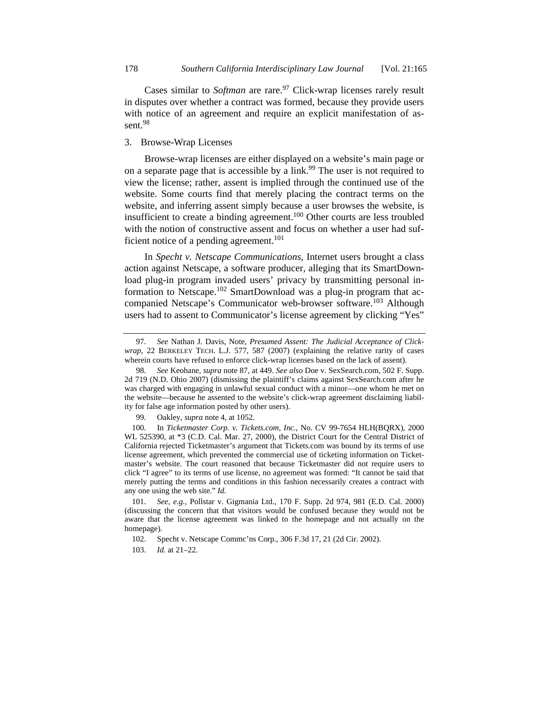Cases similar to *Softman* are rare.<sup>97</sup> Click-wrap licenses rarely result in disputes over whether a contract was formed, because they provide users with notice of an agreement and require an explicit manifestation of assent.<sup>98</sup>

## 3. Browse-Wrap Licenses

Browse-wrap licenses are either displayed on a website's main page or on a separate page that is accessible by a link.<sup>99</sup> The user is not required to view the license; rather, assent is implied through the continued use of the website. Some courts find that merely placing the contract terms on the website, and inferring assent simply because a user browses the website, is insufficient to create a binding agreement.<sup>100</sup> Other courts are less troubled with the notion of constructive assent and focus on whether a user had sufficient notice of a pending agreement.<sup>101</sup>

In *Specht v. Netscape Communications*, Internet users brought a class action against Netscape, a software producer, alleging that its SmartDownload plug-in program invaded users' privacy by transmitting personal information to Netscape.102 SmartDownload was a plug-in program that accompanied Netscape's Communicator web-browser software.<sup>103</sup> Although users had to assent to Communicator's license agreement by clicking "Yes"

 <sup>97.</sup> *See* Nathan J. Davis, Note, *Presumed Assent: The Judicial Acceptance of Clickwrap*, 22 BERKELEY TECH. L.J. 577, 587 (2007) (explaining the relative rarity of cases wherein courts have refused to enforce click-wrap licenses based on the lack of assent).

 <sup>98.</sup> *See* Keohane, *supra* note 87, at 449. *See also* Doe v. SexSearch.com, 502 F. Supp. 2d 719 (N.D. Ohio 2007) (dismissing the plaintiff's claims against SexSearch.com after he was charged with engaging in unlawful sexual conduct with a minor—one whom he met on the website—because he assented to the website's click-wrap agreement disclaiming liability for false age information posted by other users).

 <sup>99.</sup> Oakley, *supra* note 4, at 1052.

 <sup>100.</sup> In *Ticketmaster Corp. v. Tickets.com, Inc.*, No. CV 99-7654 HLH(BQRX), 2000 WL 525390, at \*3 (C.D. Cal. Mar. 27, 2000), the District Court for the Central District of California rejected Ticketmaster's argument that Tickets.com was bound by its terms of use license agreement, which prevented the commercial use of ticketing information on Ticketmaster's website. The court reasoned that because Ticketmaster did not require users to click "I agree" to its terms of use license, no agreement was formed: "It cannot be said that merely putting the terms and conditions in this fashion necessarily creates a contract with any one using the web site." *Id.*

 <sup>101.</sup> *See, e.g.*, Pollstar v. Gigmania Ltd., 170 F. Supp. 2d 974, 981 (E.D. Cal. 2000) (discussing the concern that that visitors would be confused because they would not be aware that the license agreement was linked to the homepage and not actually on the homepage).

 <sup>102.</sup> Specht v. Netscape Commc'ns Corp., 306 F.3d 17, 21 (2d Cir. 2002).

 <sup>103.</sup> *Id.* at 21–22.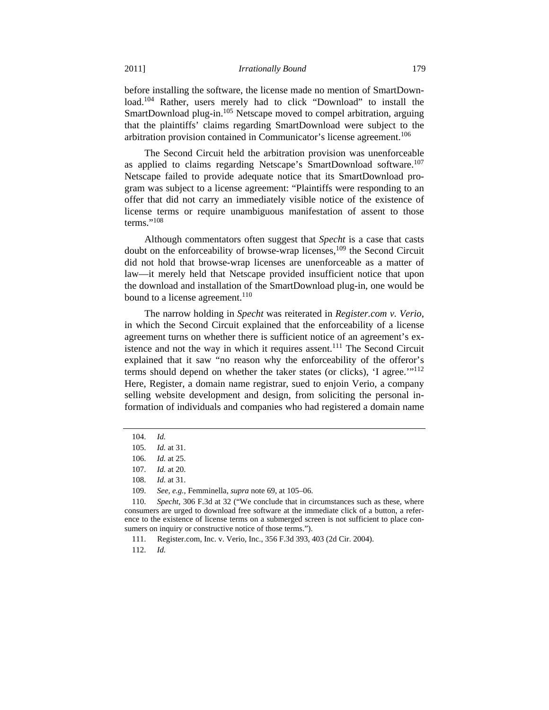before installing the software, the license made no mention of SmartDownload.<sup>104</sup> Rather, users merely had to click "Download" to install the SmartDownload plug-in.<sup>105</sup> Netscape moved to compel arbitration, arguing that the plaintiffs' claims regarding SmartDownload were subject to the arbitration provision contained in Communicator's license agreement.<sup>106</sup>

The Second Circuit held the arbitration provision was unenforceable as applied to claims regarding Netscape's SmartDownload software.<sup>107</sup> Netscape failed to provide adequate notice that its SmartDownload program was subject to a license agreement: "Plaintiffs were responding to an offer that did not carry an immediately visible notice of the existence of license terms or require unambiguous manifestation of assent to those terms." $^{108}$ 

Although commentators often suggest that *Specht* is a case that casts doubt on the enforceability of browse-wrap licenses,109 the Second Circuit did not hold that browse-wrap licenses are unenforceable as a matter of law—it merely held that Netscape provided insufficient notice that upon the download and installation of the SmartDownload plug-in, one would be bound to a license agreement.<sup>110</sup>

The narrow holding in *Specht* was reiterated in *Register.com v. Verio*, in which the Second Circuit explained that the enforceability of a license agreement turns on whether there is sufficient notice of an agreement's existence and not the way in which it requires assent.<sup>111</sup> The Second Circuit explained that it saw "no reason why the enforceability of the offeror's terms should depend on whether the taker states (or clicks), 'I agree.'"<sup>112</sup> Here, Register, a domain name registrar, sued to enjoin Verio, a company selling website development and design, from soliciting the personal information of individuals and companies who had registered a domain name

 <sup>104.</sup> *Id.*

 <sup>105.</sup> *Id.* at 31.

 <sup>106.</sup> *Id.* at 25.

 <sup>107.</sup> *Id.* at 20.

 <sup>108.</sup> *Id.* at 31.

 <sup>109.</sup> *See, e.g.*, Femminella, *supra* note 69, at 105–06.

 <sup>110.</sup> *Specht*, 306 F.3d at 32 ("We conclude that in circumstances such as these, where consumers are urged to download free software at the immediate click of a button, a reference to the existence of license terms on a submerged screen is not sufficient to place consumers on inquiry or constructive notice of those terms.").

 <sup>111.</sup> Register.com, Inc. v. Verio, Inc., 356 F.3d 393, 403 (2d Cir. 2004).

 <sup>112.</sup> *Id.*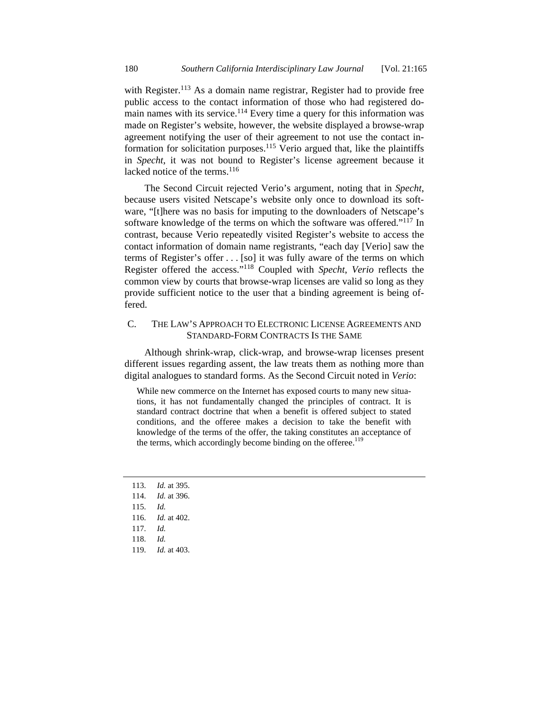with Register.<sup>113</sup> As a domain name registrar, Register had to provide free public access to the contact information of those who had registered domain names with its service.<sup>114</sup> Every time a query for this information was made on Register's website, however, the website displayed a browse-wrap agreement notifying the user of their agreement to not use the contact information for solicitation purposes.<sup>115</sup> Verio argued that, like the plaintiffs in *Specht*, it was not bound to Register's license agreement because it lacked notice of the terms. $^{116}$ 

The Second Circuit rejected Verio's argument, noting that in *Specht*, because users visited Netscape's website only once to download its software, "[t]here was no basis for imputing to the downloaders of Netscape's software knowledge of the terms on which the software was offered."<sup>117</sup> In contrast, because Verio repeatedly visited Register's website to access the contact information of domain name registrants, "each day [Verio] saw the terms of Register's offer . . . [so] it was fully aware of the terms on which Register offered the access."118 Coupled with *Specht*, *Verio* reflects the common view by courts that browse-wrap licenses are valid so long as they provide sufficient notice to the user that a binding agreement is being offered.

## C. THE LAW'S APPROACH TO ELECTRONIC LICENSE AGREEMENTS AND STANDARD-FORM CONTRACTS IS THE SAME

Although shrink-wrap, click-wrap, and browse-wrap licenses present different issues regarding assent, the law treats them as nothing more than digital analogues to standard forms. As the Second Circuit noted in *Verio*:

While new commerce on the Internet has exposed courts to many new situations, it has not fundamentally changed the principles of contract. It is standard contract doctrine that when a benefit is offered subject to stated conditions, and the offeree makes a decision to take the benefit with knowledge of the terms of the offer, the taking constitutes an acceptance of the terms, which accordingly become binding on the offeree.<sup>119</sup>

 113. *Id.* at 395. 114. *Id.* at 396. 115. *Id.*  116. *Id.* at 402. 117. *Id.* 118. *Id.*  119. *Id.* at 403.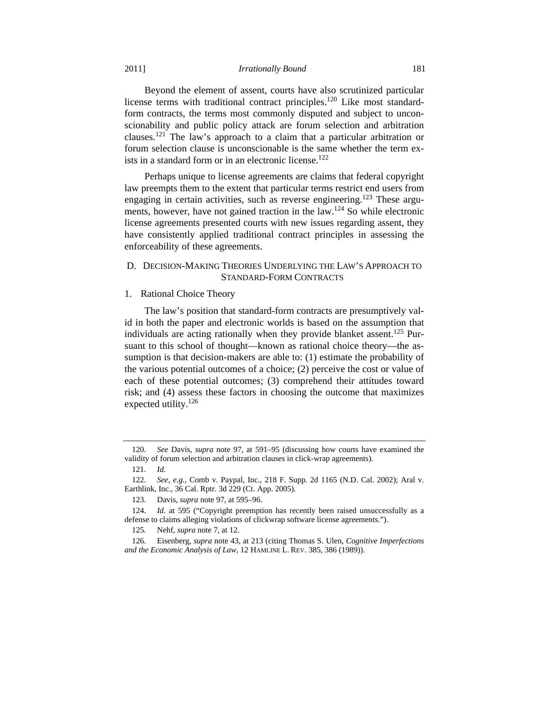Beyond the element of assent, courts have also scrutinized particular license terms with traditional contract principles.<sup>120</sup> Like most standardform contracts, the terms most commonly disputed and subject to unconscionability and public policy attack are forum selection and arbitration clauses.121 The law's approach to a claim that a particular arbitration or forum selection clause is unconscionable is the same whether the term exists in a standard form or in an electronic license.<sup>122</sup>

Perhaps unique to license agreements are claims that federal copyright law preempts them to the extent that particular terms restrict end users from engaging in certain activities, such as reverse engineering.<sup>123</sup> These arguments, however, have not gained traction in the law.<sup>124</sup> So while electronic license agreements presented courts with new issues regarding assent, they have consistently applied traditional contract principles in assessing the enforceability of these agreements.

# D. DECISION-MAKING THEORIES UNDERLYING THE LAW'S APPROACH TO STANDARD-FORM CONTRACTS

## 1. Rational Choice Theory

The law's position that standard-form contracts are presumptively valid in both the paper and electronic worlds is based on the assumption that individuals are acting rationally when they provide blanket assent.<sup>125</sup> Pursuant to this school of thought—known as rational choice theory—the assumption is that decision-makers are able to: (1) estimate the probability of the various potential outcomes of a choice; (2) perceive the cost or value of each of these potential outcomes; (3) comprehend their attitudes toward risk; and (4) assess these factors in choosing the outcome that maximizes expected utility.<sup>126</sup>

 <sup>120.</sup> *See* Davis, *supra* note 97, at 591–95 (discussing how courts have examined the validity of forum selection and arbitration clauses in click-wrap agreements).

 <sup>121.</sup> *Id.*

 <sup>122.</sup> *See, e.g.*, Comb v. Paypal, Inc., 218 F. Supp. 2d 1165 (N.D. Cal. 2002); Aral v. Earthlink, Inc., 36 Cal. Rptr. 3d 229 (Ct. App. 2005).

 <sup>123.</sup> Davis, *supra* note 97, at 595–96.

 <sup>124.</sup> *Id.* at 595 ("Copyright preemption has recently been raised unsuccessfully as a defense to claims alleging violations of clickwrap software license agreements.").

 <sup>125.</sup> Nehf, *supra* note 7, at 12.

 <sup>126.</sup> Eisenberg, *supra* note 43, at 213 (citing Thomas S. Ulen, *Cognitive Imperfections and the Economic Analysis of Law*, 12 HAMLINE L. REV. 385, 386 (1989)).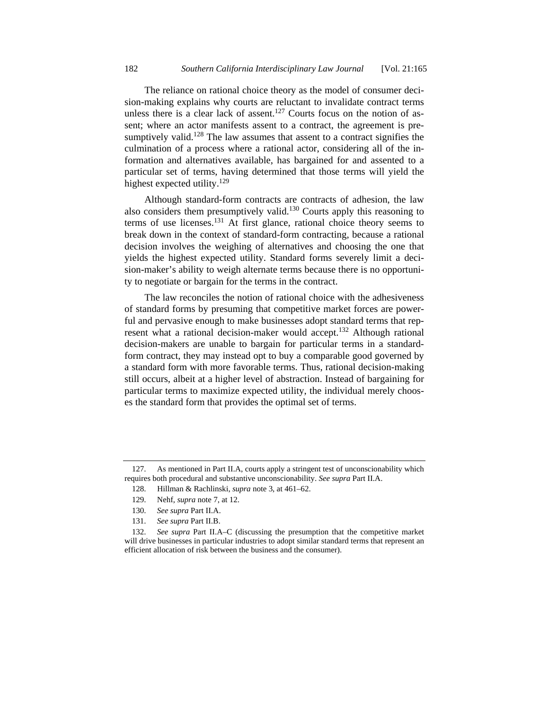The reliance on rational choice theory as the model of consumer decision-making explains why courts are reluctant to invalidate contract terms unless there is a clear lack of assent.<sup>127</sup> Courts focus on the notion of assent; where an actor manifests assent to a contract, the agreement is presumptively valid.<sup>128</sup> The law assumes that assent to a contract signifies the culmination of a process where a rational actor, considering all of the information and alternatives available, has bargained for and assented to a particular set of terms, having determined that those terms will yield the highest expected utility.<sup>129</sup>

Although standard-form contracts are contracts of adhesion, the law also considers them presumptively valid.<sup>130</sup> Courts apply this reasoning to terms of use licenses.131 At first glance, rational choice theory seems to break down in the context of standard-form contracting, because a rational decision involves the weighing of alternatives and choosing the one that yields the highest expected utility. Standard forms severely limit a decision-maker's ability to weigh alternate terms because there is no opportunity to negotiate or bargain for the terms in the contract.

The law reconciles the notion of rational choice with the adhesiveness of standard forms by presuming that competitive market forces are powerful and pervasive enough to make businesses adopt standard terms that represent what a rational decision-maker would accept.<sup>132</sup> Although rational decision-makers are unable to bargain for particular terms in a standardform contract, they may instead opt to buy a comparable good governed by a standard form with more favorable terms. Thus, rational decision-making still occurs, albeit at a higher level of abstraction. Instead of bargaining for particular terms to maximize expected utility, the individual merely chooses the standard form that provides the optimal set of terms.

 <sup>127.</sup> As mentioned in Part II.A, courts apply a stringent test of unconscionability which requires both procedural and substantive unconscionability. *See supra* Part II.A.

 <sup>128.</sup> Hillman & Rachlinski, *supra* note 3, at 461–62.

 <sup>129.</sup> Nehf, *supra* note 7, at 12.

 <sup>130.</sup> *See supra* Part II.A.

 <sup>131.</sup> *See supra* Part II.B.

 <sup>132.</sup> *See supra* Part II.A–C (discussing the presumption that the competitive market will drive businesses in particular industries to adopt similar standard terms that represent an efficient allocation of risk between the business and the consumer).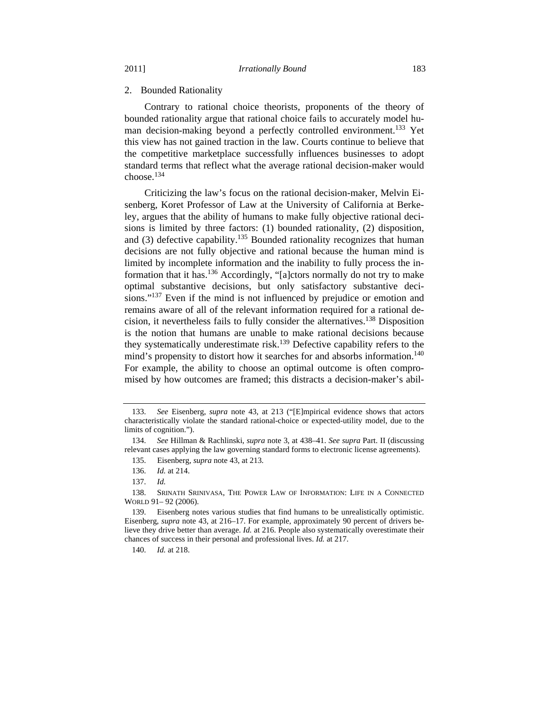#### 2. Bounded Rationality

Contrary to rational choice theorists, proponents of the theory of bounded rationality argue that rational choice fails to accurately model human decision-making beyond a perfectly controlled environment.<sup>133</sup> Yet this view has not gained traction in the law. Courts continue to believe that the competitive marketplace successfully influences businesses to adopt standard terms that reflect what the average rational decision-maker would choose.<sup>134</sup>

Criticizing the law's focus on the rational decision-maker, Melvin Eisenberg, Koret Professor of Law at the University of California at Berkeley, argues that the ability of humans to make fully objective rational decisions is limited by three factors: (1) bounded rationality, (2) disposition, and  $(3)$  defective capability.<sup>135</sup> Bounded rationality recognizes that human decisions are not fully objective and rational because the human mind is limited by incomplete information and the inability to fully process the information that it has.136 Accordingly, "[a]ctors normally do not try to make optimal substantive decisions, but only satisfactory substantive decisions."<sup>137</sup> Even if the mind is not influenced by prejudice or emotion and remains aware of all of the relevant information required for a rational decision, it nevertheless fails to fully consider the alternatives.138 Disposition is the notion that humans are unable to make rational decisions because they systematically underestimate risk.<sup>139</sup> Defective capability refers to the mind's propensity to distort how it searches for and absorbs information.<sup>140</sup> For example, the ability to choose an optimal outcome is often compromised by how outcomes are framed; this distracts a decision-maker's abil-

140. *Id.* at 218.

 <sup>133.</sup> *See* Eisenberg, *supra* note 43, at 213 ("[E]mpirical evidence shows that actors characteristically violate the standard rational-choice or expected-utility model, due to the limits of cognition.").

 <sup>134.</sup> *See* Hillman & Rachlinski, *supra* note 3, at 438–41. *See supra* Part. II (discussing relevant cases applying the law governing standard forms to electronic license agreements).

 <sup>135.</sup> Eisenberg, *supra* note 43, at 213.

 <sup>136.</sup> *Id.* at 214.

 <sup>137.</sup> *Id.*

 <sup>138.</sup> SRINATH SRINIVASA, THE POWER LAW OF INFORMATION: LIFE IN A CONNECTED WORLD 91– 92 (2006).

 <sup>139.</sup> Eisenberg notes various studies that find humans to be unrealistically optimistic. Eisenberg, *supra* note 43, at 216–17. For example, approximately 90 percent of drivers believe they drive better than average. *Id.* at 216. People also systematically overestimate their chances of success in their personal and professional lives. *Id.* at 217.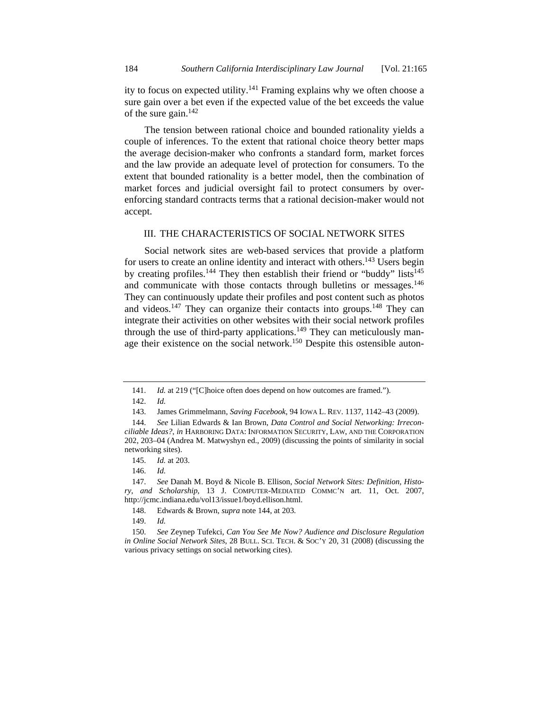ity to focus on expected utility.<sup>141</sup> Framing explains why we often choose a sure gain over a bet even if the expected value of the bet exceeds the value of the sure gain. $142$ 

The tension between rational choice and bounded rationality yields a couple of inferences. To the extent that rational choice theory better maps the average decision-maker who confronts a standard form, market forces and the law provide an adequate level of protection for consumers. To the extent that bounded rationality is a better model, then the combination of market forces and judicial oversight fail to protect consumers by overenforcing standard contracts terms that a rational decision-maker would not accept.

## III. THE CHARACTERISTICS OF SOCIAL NETWORK SITES

Social network sites are web-based services that provide a platform for users to create an online identity and interact with others.<sup>143</sup> Users begin by creating profiles.<sup>144</sup> They then establish their friend or "buddy" lists<sup>145</sup> and communicate with those contacts through bulletins or messages.<sup>146</sup> They can continuously update their profiles and post content such as photos and videos.<sup>147</sup> They can organize their contacts into groups.<sup>148</sup> They can integrate their activities on other websites with their social network profiles through the use of third-party applications.<sup>149</sup> They can meticulously manage their existence on the social network.<sup>150</sup> Despite this ostensible auton-

149. *Id.* 

<sup>141.</sup> *Id.* at 219 ("[C]hoice often does depend on how outcomes are framed.").

 <sup>142.</sup> *Id.*

 <sup>143.</sup> James Grimmelmann, *Saving Facebook*, 94 IOWA L. REV. 1137, 1142–43 (2009).

 <sup>144.</sup> *See* Lilian Edwards & Ian Brown, *Data Control and Social Networking: Irreconciliable Ideas?*, *in* HARBORING DATA: INFORMATION SECURITY, LAW, AND THE CORPORATION 202, 203–04 (Andrea M. Matwyshyn ed., 2009) (discussing the points of similarity in social networking sites).

 <sup>145.</sup> *Id.* at 203.

 <sup>146.</sup> *Id.* 

 <sup>147.</sup> *See* Danah M. Boyd & Nicole B. Ellison, *Social Network Sites: Definition, History, and Scholarship*, 13 J. COMPUTER-MEDIATED COMMC'N art. 11, Oct. 2007, http://jcmc.indiana.edu/vol13/issue1/boyd.ellison.html.

 <sup>148.</sup> Edwards & Brown, *supra* note 144, at 203.

 <sup>150.</sup> *See* Zeynep Tufekci, *Can You See Me Now? Audience and Disclosure Regulation in Online Social Network Sites*, 28 BULL. SCI. TECH. & SOC'Y 20, 31 (2008) (discussing the various privacy settings on social networking cites).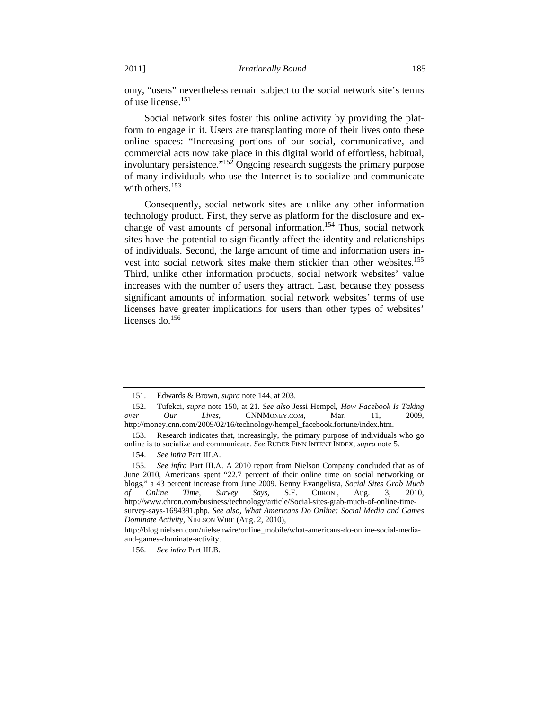omy, "users" nevertheless remain subject to the social network site's terms of use license.<sup>151</sup>

Social network sites foster this online activity by providing the platform to engage in it. Users are transplanting more of their lives onto these online spaces: "Increasing portions of our social, communicative, and commercial acts now take place in this digital world of effortless, habitual, involuntary persistence."<sup>152</sup> Ongoing research suggests the primary purpose of many individuals who use the Internet is to socialize and communicate with others.<sup>153</sup>

Consequently, social network sites are unlike any other information technology product. First, they serve as platform for the disclosure and exchange of vast amounts of personal information.<sup>154</sup> Thus, social network sites have the potential to significantly affect the identity and relationships of individuals. Second, the large amount of time and information users invest into social network sites make them stickier than other websites.155 Third, unlike other information products, social network websites' value increases with the number of users they attract. Last, because they possess significant amounts of information, social network websites' terms of use licenses have greater implications for users than other types of websites' licenses do.<sup>156</sup>

 <sup>151.</sup> Edwards & Brown, *supra* note 144, at 203.

 <sup>152.</sup> Tufekci, *supra* note 150, at 21. *See also* Jessi Hempel, *How Facebook Is Taking over Our Lives*, CNNMONEY.COM, Mar. 11, 2009, http://money.cnn.com/2009/02/16/technology/hempel\_facebook.fortune/index.htm.

 <sup>153.</sup> Research indicates that, increasingly, the primary purpose of individuals who go online is to socialize and communicate. *See* RUDER FINN INTENT INDEX, *supra* note 5.

 <sup>154.</sup> *See infra* Part III.A.

 <sup>155.</sup> *See infra* Part III.A. A 2010 report from Nielson Company concluded that as of June 2010, Americans spent "22.7 percent of their online time on social networking or blogs," a 43 percent increase from June 2009. Benny Evangelista, *Social Sites Grab Much of Online Time, Survey Says,* S.F. CHRON., Aug. 3, 2010, http://www.chron.com/business/technology/article/Social-sites-grab-much-of-online-timesurvey-says-1694391.php. *See also*, *What Americans Do Online: Social Media and Games Dominate Activity,* NIELSON WIRE (Aug. 2, 2010),

http://blog.nielsen.com/nielsenwire/online\_mobile/what-americans-do-online-social-mediaand-games-dominate-activity.

 <sup>156.</sup> *See infra* Part III.B.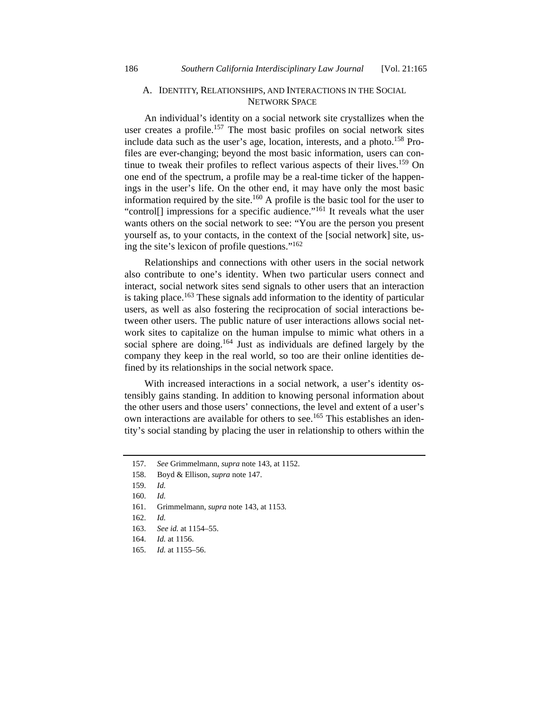## A. IDENTITY, RELATIONSHIPS, AND INTERACTIONS IN THE SOCIAL NETWORK SPACE

An individual's identity on a social network site crystallizes when the user creates a profile.<sup>157</sup> The most basic profiles on social network sites include data such as the user's age, location, interests, and a photo.<sup>158</sup> Profiles are ever-changing; beyond the most basic information, users can continue to tweak their profiles to reflect various aspects of their lives.<sup>159</sup> On one end of the spectrum, a profile may be a real-time ticker of the happenings in the user's life. On the other end, it may have only the most basic information required by the site.<sup>160</sup> A profile is the basic tool for the user to "control<sup>[]</sup> impressions for a specific audience."<sup>161</sup> It reveals what the user wants others on the social network to see: "You are the person you present yourself as, to your contacts, in the context of the [social network] site, using the site's lexicon of profile questions."162

Relationships and connections with other users in the social network also contribute to one's identity. When two particular users connect and interact, social network sites send signals to other users that an interaction is taking place.<sup>163</sup> These signals add information to the identity of particular users, as well as also fostering the reciprocation of social interactions between other users. The public nature of user interactions allows social network sites to capitalize on the human impulse to mimic what others in a social sphere are doing.<sup>164</sup> Just as individuals are defined largely by the company they keep in the real world, so too are their online identities defined by its relationships in the social network space.

With increased interactions in a social network, a user's identity ostensibly gains standing. In addition to knowing personal information about the other users and those users' connections, the level and extent of a user's own interactions are available for others to see.<sup>165</sup> This establishes an identity's social standing by placing the user in relationship to others within the

- 161. Grimmelmann, *supra* note 143, at 1153.
- 162. *Id.*

- 164. *Id.* at 1156.
- 165. *Id.* at 1155–56.

 <sup>157.</sup> *See* Grimmelmann, *supra* note 143, at 1152.

 <sup>158.</sup> Boyd & Ellison, *supra* note 147.

 <sup>159.</sup> *Id.* 

 <sup>160.</sup> *Id.* 

 <sup>163.</sup> *See id.* at 1154–55.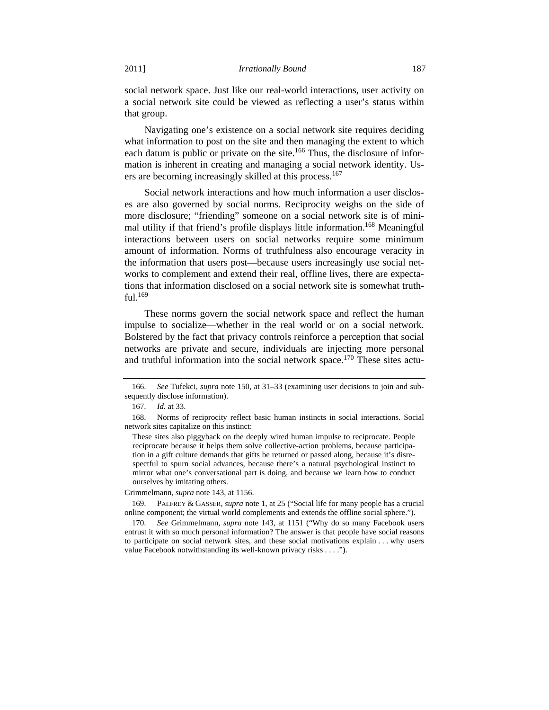social network space. Just like our real-world interactions, user activity on a social network site could be viewed as reflecting a user's status within that group.

Navigating one's existence on a social network site requires deciding what information to post on the site and then managing the extent to which each datum is public or private on the site.<sup>166</sup> Thus, the disclosure of information is inherent in creating and managing a social network identity. Users are becoming increasingly skilled at this process.<sup>167</sup>

Social network interactions and how much information a user discloses are also governed by social norms. Reciprocity weighs on the side of more disclosure; "friending" someone on a social network site is of minimal utility if that friend's profile displays little information.<sup>168</sup> Meaningful interactions between users on social networks require some minimum amount of information. Norms of truthfulness also encourage veracity in the information that users post—because users increasingly use social networks to complement and extend their real, offline lives, there are expectations that information disclosed on a social network site is somewhat truthful.169

These norms govern the social network space and reflect the human impulse to socialize—whether in the real world or on a social network. Bolstered by the fact that privacy controls reinforce a perception that social networks are private and secure, individuals are injecting more personal and truthful information into the social network space.<sup>170</sup> These sites actu-

Grimmelmann, *supra* note 143, at 1156.

 170. *See* Grimmelmann, *supra* note 143, at 1151 ("Why do so many Facebook users entrust it with so much personal information? The answer is that people have social reasons to participate on social network sites, and these social motivations explain . . . why users value Facebook notwithstanding its well-known privacy risks . . . .").

 <sup>166.</sup> *See* Tufekci, *supra* note 150, at 31–33 (examining user decisions to join and subsequently disclose information).

 <sup>167.</sup> *Id.* at 33.

 <sup>168.</sup> Norms of reciprocity reflect basic human instincts in social interactions. Social network sites capitalize on this instinct:

These sites also piggyback on the deeply wired human impulse to reciprocate. People reciprocate because it helps them solve collective-action problems, because participation in a gift culture demands that gifts be returned or passed along, because it's disrespectful to spurn social advances, because there's a natural psychological instinct to mirror what one's conversational part is doing, and because we learn how to conduct ourselves by imitating others.

 <sup>169.</sup> PALFREY & GASSER, *supra* note 1, at 25 ("Social life for many people has a crucial online component; the virtual world complements and extends the offline social sphere.").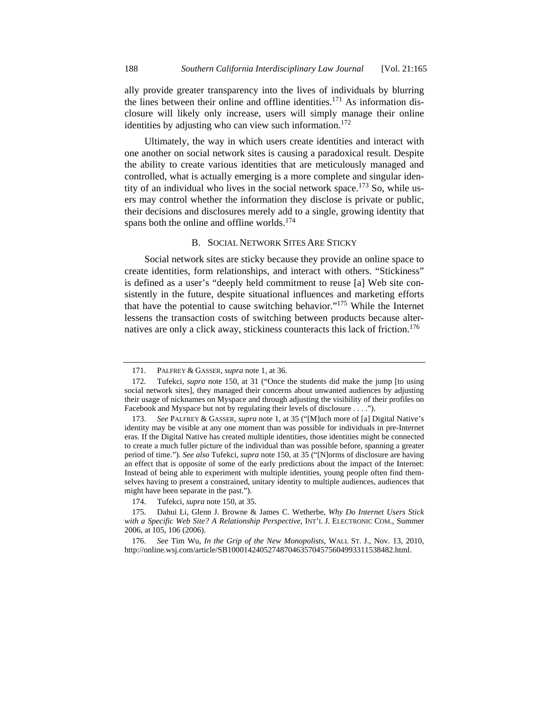ally provide greater transparency into the lives of individuals by blurring the lines between their online and offline identities.<sup>171</sup> As information disclosure will likely only increase, users will simply manage their online identities by adjusting who can view such information.<sup>172</sup>

Ultimately, the way in which users create identities and interact with one another on social network sites is causing a paradoxical result. Despite the ability to create various identities that are meticulously managed and controlled, what is actually emerging is a more complete and singular identity of an individual who lives in the social network space.<sup>173</sup> So, while users may control whether the information they disclose is private or public, their decisions and disclosures merely add to a single, growing identity that spans both the online and offline worlds.<sup>174</sup>

#### B. SOCIAL NETWORK SITES ARE STICKY

Social network sites are sticky because they provide an online space to create identities, form relationships, and interact with others. "Stickiness" is defined as a user's "deeply held commitment to reuse [a] Web site consistently in the future, despite situational influences and marketing efforts that have the potential to cause switching behavior."175 While the Internet lessens the transaction costs of switching between products because alternatives are only a click away, stickiness counteracts this lack of friction.<sup>176</sup>

 <sup>171.</sup> PALFREY & GASSER, *supra* note 1, at 36.

 <sup>172.</sup> Tufekci, *supra* note 150, at 31 ("Once the students did make the jump [to using social network sites], they managed their concerns about unwanted audiences by adjusting their usage of nicknames on Myspace and through adjusting the visibility of their profiles on Facebook and Myspace but not by regulating their levels of disclosure . . . .").

See PALFREY & GASSER, *supra* note 1, at 35 ("[M]uch more of [a] Digital Native's identity may be visible at any one moment than was possible for individuals in pre-Internet eras. If the Digital Native has created multiple identities, those identities might be connected to create a much fuller picture of the individual than was possible before, spanning a greater period of time."). *See also* Tufekci, *supra* note 150, at 35 ("[N]orms of disclosure are having an effect that is opposite of some of the early predictions about the impact of the Internet: Instead of being able to experiment with multiple identities, young people often find themselves having to present a constrained, unitary identity to multiple audiences, audiences that might have been separate in the past.").

 <sup>174.</sup> Tufekci, *supra* note 150, at 35.

 <sup>175.</sup> Dahui Li, Glenn J. Browne & James C. Wetherbe, *Why Do Internet Users Stick with a Specific Web Site? A Relationship Perspective*, INT'L J. ELECTRONIC COM., Summer 2006, at 105, 106 (2006).

 <sup>176.</sup> *See* Tim Wu, *In the Grip of the New Monopolists*, WALL ST. J., Nov. 13, 2010, http://online.wsj.com/article/SB10001424052748704635704575604993311538482.html.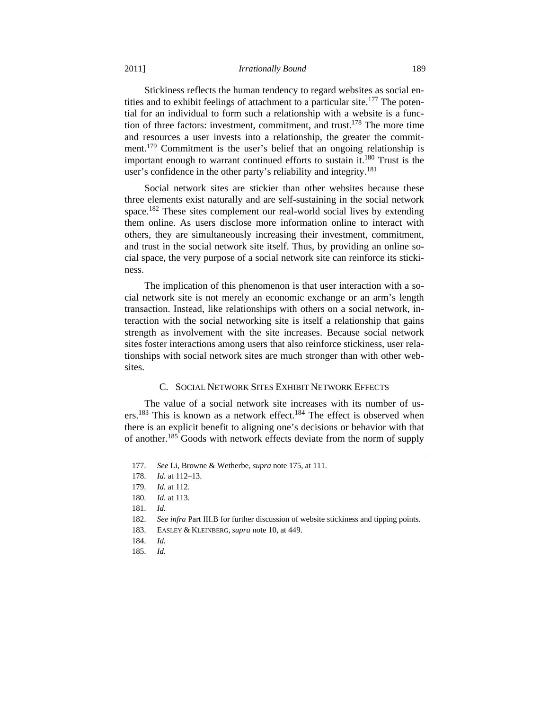#### 2011] *Irrationally Bound* 189

Stickiness reflects the human tendency to regard websites as social entities and to exhibit feelings of attachment to a particular site.<sup>177</sup> The potential for an individual to form such a relationship with a website is a function of three factors: investment, commitment, and trust.<sup>178</sup> The more time and resources a user invests into a relationship, the greater the commitment.<sup>179</sup> Commitment is the user's belief that an ongoing relationship is important enough to warrant continued efforts to sustain it.180 Trust is the user's confidence in the other party's reliability and integrity.<sup>181</sup>

Social network sites are stickier than other websites because these three elements exist naturally and are self-sustaining in the social network space.<sup>182</sup> These sites complement our real-world social lives by extending them online. As users disclose more information online to interact with others, they are simultaneously increasing their investment, commitment, and trust in the social network site itself. Thus, by providing an online social space, the very purpose of a social network site can reinforce its stickiness.

The implication of this phenomenon is that user interaction with a social network site is not merely an economic exchange or an arm's length transaction. Instead, like relationships with others on a social network, interaction with the social networking site is itself a relationship that gains strength as involvement with the site increases. Because social network sites foster interactions among users that also reinforce stickiness, user relationships with social network sites are much stronger than with other websites.

### C. SOCIAL NETWORK SITES EXHIBIT NETWORK EFFECTS

The value of a social network site increases with its number of users.183 This is known as a network effect.184 The effect is observed when there is an explicit benefit to aligning one's decisions or behavior with that of another.<sup>185</sup> Goods with network effects deviate from the norm of supply

 <sup>177.</sup> *See* Li, Browne & Wetherbe, *supra* note 175, at 111.

 <sup>178.</sup> *Id.* at 112–13.

 <sup>179.</sup> *Id.* at 112.

 <sup>180.</sup> *Id.* at 113.

 <sup>181.</sup> *Id.*

 <sup>182.</sup> *See infra* Part III.B for further discussion of website stickiness and tipping points.

 <sup>183.</sup> EASLEY & KLEINBERG, *supra* note 10, at 449.

 <sup>184.</sup> *Id.*

 <sup>185.</sup> *Id.*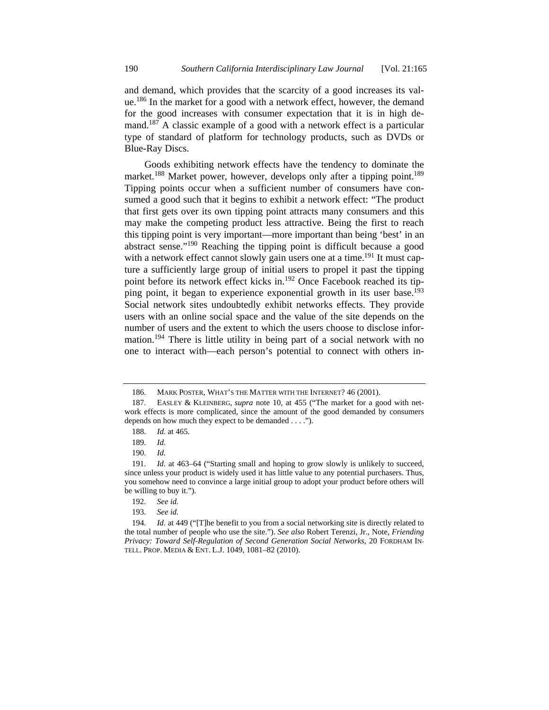and demand, which provides that the scarcity of a good increases its value.186 In the market for a good with a network effect, however, the demand for the good increases with consumer expectation that it is in high demand.<sup>187</sup> A classic example of a good with a network effect is a particular type of standard of platform for technology products, such as DVDs or Blue-Ray Discs.

Goods exhibiting network effects have the tendency to dominate the market.<sup>188</sup> Market power, however, develops only after a tipping point.<sup>189</sup> Tipping points occur when a sufficient number of consumers have consumed a good such that it begins to exhibit a network effect: "The product that first gets over its own tipping point attracts many consumers and this may make the competing product less attractive. Being the first to reach this tipping point is very important—more important than being 'best' in an abstract sense."190 Reaching the tipping point is difficult because a good with a network effect cannot slowly gain users one at a time.<sup>191</sup> It must capture a sufficiently large group of initial users to propel it past the tipping point before its network effect kicks in.192 Once Facebook reached its tipping point, it began to experience exponential growth in its user base.<sup>193</sup> Social network sites undoubtedly exhibit networks effects. They provide users with an online social space and the value of the site depends on the number of users and the extent to which the users choose to disclose information.<sup>194</sup> There is little utility in being part of a social network with no one to interact with—each person's potential to connect with others in-

 <sup>186.</sup> MARK POSTER, WHAT'S THE MATTER WITH THE INTERNET? 46 (2001).

 <sup>187.</sup> EASLEY & KLEINBERG, *supra* note 10, at 455 ("The market for a good with network effects is more complicated, since the amount of the good demanded by consumers depends on how much they expect to be demanded . . . .").

 <sup>188.</sup> *Id.* at 465.

 <sup>189.</sup> *Id.*

 <sup>190.</sup> *Id.*

 <sup>191.</sup> *Id.* at 463–64 ("Starting small and hoping to grow slowly is unlikely to succeed, since unless your product is widely used it has little value to any potential purchasers. Thus, you somehow need to convince a large initial group to adopt your product before others will be willing to buy it.").

 <sup>192.</sup> *See id.*

 <sup>193.</sup> *See id.*

<sup>194.</sup> *Id.* at 449 ("The benefit to you from a social networking site is directly related to the total number of people who use the site."). *See also* Robert Terenzi, Jr., Note, *Friending Privacy: Toward Self-Regulation of Second Generation Social Networks*, 20 FORDHAM IN-TELL. PROP. MEDIA & ENT. L.J. 1049, 1081–82 (2010).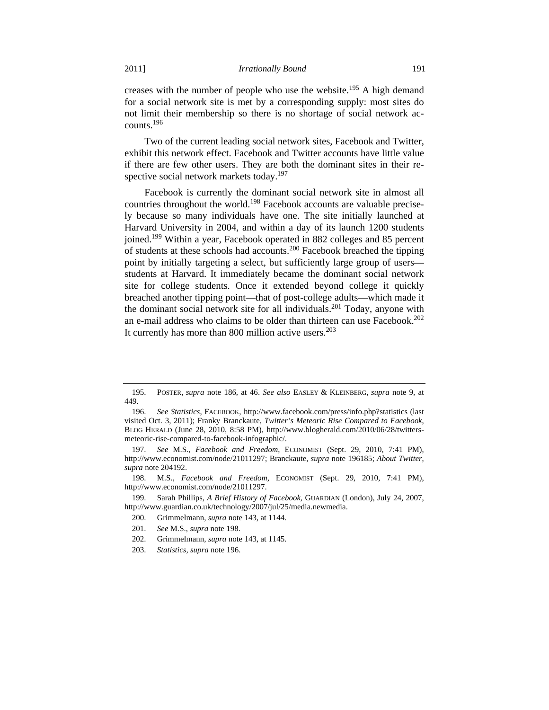creases with the number of people who use the website.<sup>195</sup> A high demand for a social network site is met by a corresponding supply: most sites do not limit their membership so there is no shortage of social network accounts.196

Two of the current leading social network sites, Facebook and Twitter, exhibit this network effect. Facebook and Twitter accounts have little value if there are few other users. They are both the dominant sites in their respective social network markets today.<sup>197</sup>

Facebook is currently the dominant social network site in almost all countries throughout the world.<sup>198</sup> Facebook accounts are valuable precisely because so many individuals have one. The site initially launched at Harvard University in 2004, and within a day of its launch 1200 students joined.199 Within a year, Facebook operated in 882 colleges and 85 percent of students at these schools had accounts.<sup>200</sup> Facebook breached the tipping point by initially targeting a select, but sufficiently large group of users students at Harvard. It immediately became the dominant social network site for college students. Once it extended beyond college it quickly breached another tipping point—that of post-college adults—which made it the dominant social network site for all individuals.<sup>201</sup> Today, anyone with an e-mail address who claims to be older than thirteen can use Facebook.<sup>202</sup> It currently has more than 800 million active users. $203$ 

203. *Statistics*, *supra* note 196.

 <sup>195.</sup> POSTER, *supra* note 186, at 46. *See also* EASLEY & KLEINBERG, *supra* note 9, at 449.

 <sup>196.</sup> *See Statistics*, FACEBOOK, http://www.facebook.com/press/info.php?statistics (last visited Oct. 3, 2011); Franky Branckaute, *Twitter's Meteoric Rise Compared to Facebook*, BLOG HERALD (June 28, 2010, 8:58 PM), http://www.blogherald.com/2010/06/28/twittersmeteoric-rise-compared-to-facebook-infographic/.

 <sup>197.</sup> *See* M.S., *Facebook and Freedom*, ECONOMIST (Sept. 29, 2010, 7:41 PM), http://www.economist.com/node/21011297; Branckaute, *supra* note 196185; *About Twitter*, *supra* note 204192.

 <sup>198.</sup> M.S., *Facebook and Freedom*, ECONOMIST (Sept. 29, 2010, 7:41 PM), http://www.economist.com/node/21011297.

 <sup>199.</sup> Sarah Phillips, *A Brief History of Facebook*, GUARDIAN (London), July 24, 2007, http://www.guardian.co.uk/technology/2007/jul/25/media.newmedia.

 <sup>200.</sup> Grimmelmann, *supra* note 143, at 1144.

 <sup>201.</sup> *See* M.S., *supra* note 198.

 <sup>202.</sup> Grimmelmann, *supra* note 143, at 1145.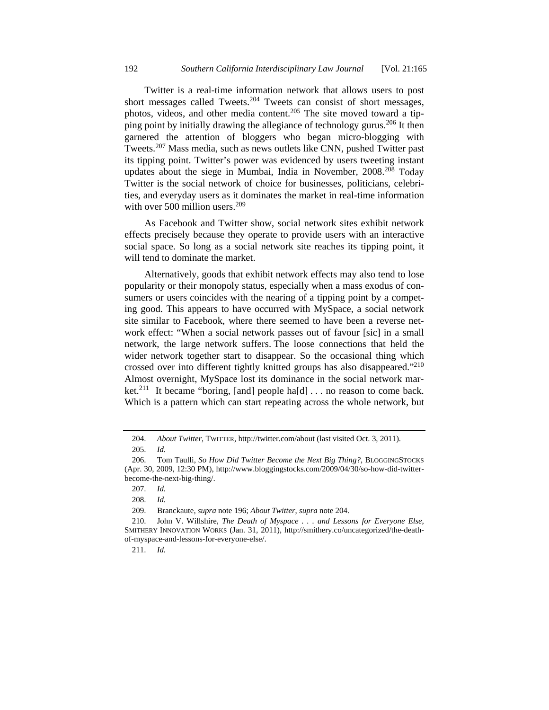Twitter is a real-time information network that allows users to post short messages called Tweets.<sup>204</sup> Tweets can consist of short messages, photos, videos, and other media content.<sup>205</sup> The site moved toward a tipping point by initially drawing the allegiance of technology gurus.<sup>206</sup> It then garnered the attention of bloggers who began micro-blogging with Tweets.<sup>207</sup> Mass media, such as news outlets like CNN, pushed Twitter past its tipping point. Twitter's power was evidenced by users tweeting instant updates about the siege in Mumbai, India in November,  $2008<sup>208</sup>$  Today Twitter is the social network of choice for businesses, politicians, celebrities, and everyday users as it dominates the market in real-time information with over 500 million users. $209$ 

As Facebook and Twitter show, social network sites exhibit network effects precisely because they operate to provide users with an interactive social space. So long as a social network site reaches its tipping point, it will tend to dominate the market.

Alternatively, goods that exhibit network effects may also tend to lose popularity or their monopoly status, especially when a mass exodus of consumers or users coincides with the nearing of a tipping point by a competing good. This appears to have occurred with MySpace, a social network site similar to Facebook, where there seemed to have been a reverse network effect: "When a social network passes out of favour [sic] in a small network, the large network suffers. The loose connections that held the wider network together start to disappear. So the occasional thing which crossed over into different tightly knitted groups has also disappeared."210 Almost overnight, MySpace lost its dominance in the social network market.<sup>211</sup> It became "boring, [and] people ha[d]  $\ldots$  no reason to come back. Which is a pattern which can start repeating across the whole network, but

 <sup>204.</sup> *About Twitter*, TWITTER, http://twitter.com/about (last visited Oct. 3, 2011).

 <sup>205.</sup> *Id.*

 <sup>206.</sup> Tom Taulli, *So How Did Twitter Become the Next Big Thing?*, BLOGGINGSTOCKS (Apr. 30, 2009, 12:30 PM), http://www.bloggingstocks.com/2009/04/30/so-how-did-twitterbecome-the-next-big-thing/.

 <sup>207.</sup> *Id.*

 <sup>208.</sup> *Id.* 

 <sup>209.</sup> Branckaute, *supra* note 196; *About Twitter*, *supra* note 204.

 <sup>210.</sup> John V. Willshire, *The Death of Myspace . . . and Lessons for Everyone Else,*  SMITHERY INNOVATION WORKS (Jan. 31, 2011), http://smithery.co/uncategorized/the-deathof-myspace-and-lessons-for-everyone-else/.

 <sup>211.</sup> *Id.*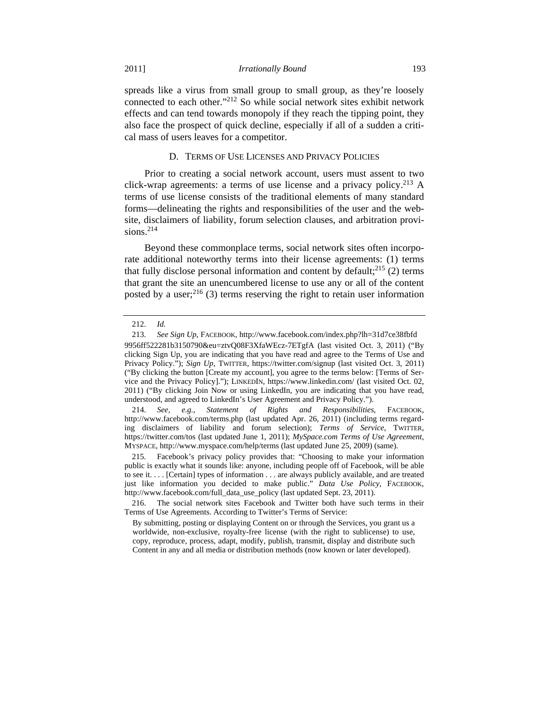spreads like a virus from small group to small group, as they're loosely connected to each other."212 So while social network sites exhibit network effects and can tend towards monopoly if they reach the tipping point, they also face the prospect of quick decline, especially if all of a sudden a critical mass of users leaves for a competitor.

#### D. TERMS OF USE LICENSES AND PRIVACY POLICIES

Prior to creating a social network account, users must assent to two click-wrap agreements: a terms of use license and a privacy policy.<sup>213</sup> A terms of use license consists of the traditional elements of many standard forms—delineating the rights and responsibilities of the user and the website, disclaimers of liability, forum selection clauses, and arbitration provisions. $214$ 

Beyond these commonplace terms, social network sites often incorporate additional noteworthy terms into their license agreements: (1) terms that fully disclose personal information and content by default; $^{215}$  (2) terms that grant the site an unencumbered license to use any or all of the content posted by a user;  $2^{16}$  (3) terms reserving the right to retain user information

 215. Facebook's privacy policy provides that: "Choosing to make your information public is exactly what it sounds like: anyone, including people off of Facebook, will be able to see it. . . . [Certain] types of information . . . are always publicly available, and are treated just like information you decided to make public." *Data Use Policy*, FACEBOOK, http://www.facebook.com/full\_data\_use\_policy (last updated Sept. 23, 2011).

 <sup>212.</sup> *Id.*

 <sup>213.</sup> *See Sign Up*, FACEBOOK, http://www.facebook.com/index.php?lh=31d7ce38fbfd 9956ff522281b3150790&eu=ztvQ08F3XfaWEcz-7ETgfA (last visited Oct. 3, 2011) ("By clicking Sign Up, you are indicating that you have read and agree to the Terms of Use and Privacy Policy."); *Sign Up*, TWITTER, https://twitter.com/signup (last visited Oct. 3, 2011) ("By clicking the button [Create my account], you agree to the terms below: [Terms of Service and the Privacy Policy]."); LINKEDIN, https://www.linkedin.com/ (last visited Oct. 02, 2011) ("By clicking Join Now or using LinkedIn, you are indicating that you have read, understood, and agreed to LinkedIn's User Agreement and Privacy Policy.").

 <sup>214.</sup> *See, e.g.*, *Statement of Rights and Responsibilities*, FACEBOOK, http://www.facebook.com/terms.php (last updated Apr. 26, 2011) (including terms regarding disclaimers of liability and forum selection); *Terms of Service*, TWITTER, https://twitter.com/tos (last updated June 1, 2011); *MySpace.com Terms of Use Agreement*, MYSPACE, http://www.myspace.com/help/terms (last updated June 25, 2009) (same).

 <sup>216.</sup> The social network sites Facebook and Twitter both have such terms in their Terms of Use Agreements. According to Twitter's Terms of Service:

By submitting, posting or displaying Content on or through the Services, you grant us a worldwide, non-exclusive, royalty-free license (with the right to sublicense) to use, copy, reproduce, process, adapt, modify, publish, transmit, display and distribute such Content in any and all media or distribution methods (now known or later developed).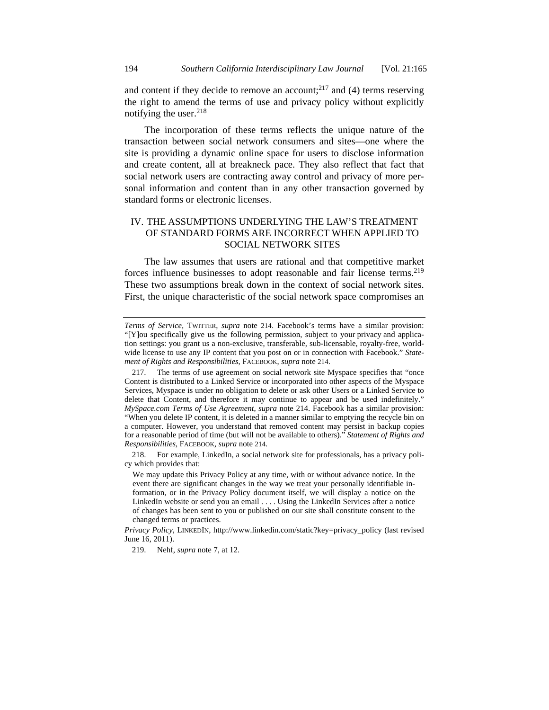and content if they decide to remove an account;<sup>217</sup> and (4) terms reserving the right to amend the terms of use and privacy policy without explicitly notifying the user.<sup>218</sup>

The incorporation of these terms reflects the unique nature of the transaction between social network consumers and sites—one where the site is providing a dynamic online space for users to disclose information and create content, all at breakneck pace. They also reflect that fact that social network users are contracting away control and privacy of more personal information and content than in any other transaction governed by standard forms or electronic licenses.

# IV. THE ASSUMPTIONS UNDERLYING THE LAW'S TREATMENT OF STANDARD FORMS ARE INCORRECT WHEN APPLIED TO SOCIAL NETWORK SITES

The law assumes that users are rational and that competitive market forces influence businesses to adopt reasonable and fair license terms.<sup>219</sup> These two assumptions break down in the context of social network sites. First, the unique characteristic of the social network space compromises an

219. Nehf, *supra* note 7, at 12.

*Terms of Service,* TWITTER, *supra* note 214. Facebook's terms have a similar provision: "[Y]ou specifically give us the following permission, subject to your privacy and application settings: you grant us a non-exclusive, transferable, sub-licensable, royalty-free, worldwide license to use any IP content that you post on or in connection with Facebook." *Statement of Rights and Responsibilities*, FACEBOOK, *supra* note 214.

 <sup>217.</sup> The terms of use agreement on social network site Myspace specifies that "once Content is distributed to a Linked Service or incorporated into other aspects of the Myspace Services, Myspace is under no obligation to delete or ask other Users or a Linked Service to delete that Content, and therefore it may continue to appear and be used indefinitely." *MySpace.com Terms of Use Agreement*, *supra* note 214. Facebook has a similar provision: "When you delete IP content, it is deleted in a manner similar to emptying the recycle bin on a computer. However, you understand that removed content may persist in backup copies for a reasonable period of time (but will not be available to others)." *Statement of Rights and Responsibilities*, FACEBOOK, *supra* note 214.

 <sup>218.</sup> For example, LinkedIn, a social network site for professionals, has a privacy policy which provides that:

We may update this Privacy Policy at any time, with or without advance notice. In the event there are significant changes in the way we treat your personally identifiable information, or in the Privacy Policy document itself, we will display a notice on the LinkedIn website or send you an email . . . . Using the LinkedIn Services after a notice of changes has been sent to you or published on our site shall constitute consent to the changed terms or practices.

*Privacy Policy*, LINKEDIN, http://www.linkedin.com/static?key=privacy\_policy (last revised June 16, 2011).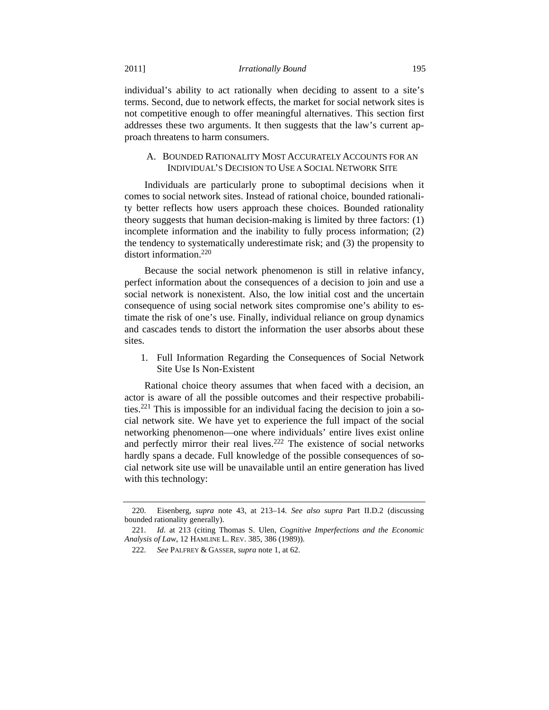individual's ability to act rationally when deciding to assent to a site's terms. Second, due to network effects, the market for social network sites is not competitive enough to offer meaningful alternatives. This section first addresses these two arguments. It then suggests that the law's current approach threatens to harm consumers.

## A. BOUNDED RATIONALITY MOST ACCURATELY ACCOUNTS FOR AN INDIVIDUAL'S DECISION TO USE A SOCIAL NETWORK SITE

Individuals are particularly prone to suboptimal decisions when it comes to social network sites. Instead of rational choice, bounded rationality better reflects how users approach these choices. Bounded rationality theory suggests that human decision-making is limited by three factors: (1) incomplete information and the inability to fully process information; (2) the tendency to systematically underestimate risk; and (3) the propensity to distort information.<sup>220</sup>

Because the social network phenomenon is still in relative infancy, perfect information about the consequences of a decision to join and use a social network is nonexistent. Also, the low initial cost and the uncertain consequence of using social network sites compromise one's ability to estimate the risk of one's use. Finally, individual reliance on group dynamics and cascades tends to distort the information the user absorbs about these sites.

1. Full Information Regarding the Consequences of Social Network Site Use Is Non-Existent

Rational choice theory assumes that when faced with a decision, an actor is aware of all the possible outcomes and their respective probabilities.<sup>221</sup> This is impossible for an individual facing the decision to join a social network site. We have yet to experience the full impact of the social networking phenomenon—one where individuals' entire lives exist online and perfectly mirror their real lives.<sup>222</sup> The existence of social networks hardly spans a decade. Full knowledge of the possible consequences of social network site use will be unavailable until an entire generation has lived with this technology:

 <sup>220.</sup> Eisenberg, *supra* note 43, at 213–14. *See also supra* Part II.D.2 (discussing bounded rationality generally).

 <sup>221.</sup> *Id.* at 213 (citing Thomas S. Ulen, *Cognitive Imperfections and the Economic Analysis of Law*, 12 HAMLINE L. REV. 385, 386 (1989)).

 <sup>222.</sup> *See* PALFREY & GASSER, *supra* note 1, at 62.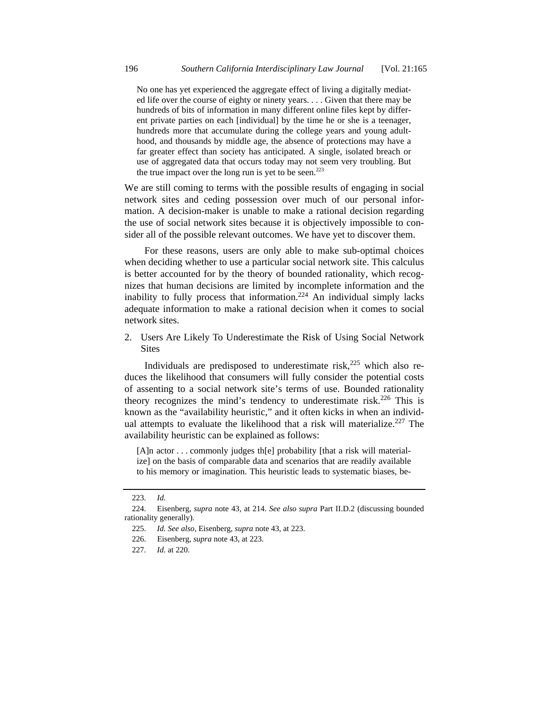No one has yet experienced the aggregate effect of living a digitally mediated life over the course of eighty or ninety years. . . . Given that there may be hundreds of bits of information in many different online files kept by different private parties on each [individual] by the time he or she is a teenager, hundreds more that accumulate during the college years and young adulthood, and thousands by middle age, the absence of protections may have a far greater effect than society has anticipated. A single, isolated breach or use of aggregated data that occurs today may not seem very troubling. But the true impact over the long run is yet to be seen.<sup>223</sup>

We are still coming to terms with the possible results of engaging in social network sites and ceding possession over much of our personal information. A decision-maker is unable to make a rational decision regarding the use of social network sites because it is objectively impossible to consider all of the possible relevant outcomes. We have yet to discover them.

For these reasons, users are only able to make sub-optimal choices when deciding whether to use a particular social network site. This calculus is better accounted for by the theory of bounded rationality, which recognizes that human decisions are limited by incomplete information and the inability to fully process that information.<sup>224</sup> An individual simply lacks adequate information to make a rational decision when it comes to social network sites.

2. Users Are Likely To Underestimate the Risk of Using Social Network **Sites** 

Individuals are predisposed to underestimate risk, $225$  which also reduces the likelihood that consumers will fully consider the potential costs of assenting to a social network site's terms of use. Bounded rationality theory recognizes the mind's tendency to underestimate risk.<sup>226</sup> This is known as the "availability heuristic," and it often kicks in when an individual attempts to evaluate the likelihood that a risk will materialize.<sup>227</sup> The availability heuristic can be explained as follows:

[A]n actor . . . commonly judges the probability [that a risk will materialize] on the basis of comparable data and scenarios that are readily available to his memory or imagination. This heuristic leads to systematic biases, be-

 <sup>223.</sup> *Id.*

 <sup>224.</sup> Eisenberg, *supra* note 43, at 214. *See also supra* Part II.D.2 (discussing bounded rationality generally).

 <sup>225.</sup> *Id. See also*, Eisenberg, *supra* note 43, at 223.

 <sup>226.</sup> Eisenberg, *supra* note 43, at 223.

 <sup>227.</sup> *Id.* at 220.